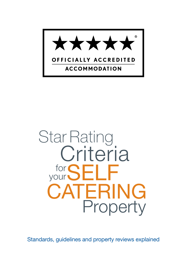

# Star Rating for your SELF **Criteria** CATERING Property

Standards, guidelines and property reviews explained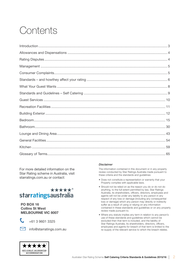# Contents

For more detailed information on the Star Rating scheme in Australia, visit starratings.com.au or contact:

#### \*\*\*\*\*<sup>®</sup> starratingsaustralia

#### PO BOX 16 Collins St West MELBOURNE VIC 8007



+61 3 9601 3325



minfo@starratings.com.au

#### *Disclaimer*

The information contained in this document or in any property review conducted by Star Ratings Australia made pursuant to these criteria and the standards and guidelines:

- Does not constitute a representation or warranty that your Property complies with applicable laws.
- Should not be relied on as the reason you do or do not do anything, to the full extent permitted by law, Star Ratings Australia, its shareholders, officers, directors, employees and agents will not be under any liability to any person in any respect of any loss or damage (including any consequential loss or damage) which any person may directly or indirectly suffer as a result of using or relying on any information contained in these standards and guidelines or on any property review made pursuant to.
- Where any statute implies any term in relation to any person's use of these standards and guidelines which cannot be excluded then that term is included, and the liability of Star Ratings Australia, its shareholders, directors, officers, employees and agents for breach of that term is limited to the re–supply of the relevant service to which the breach relates.

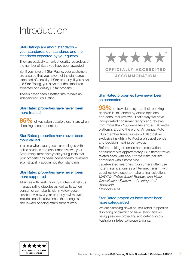# Introduction

#### Star Ratings are about standards – your standards, our standards and the standards expected by your guests.

They are basically a mark of quality, regardless of the number of Stars you have been awarded.

So, if you have a 1 Star Rating, your customers are assured that you have met the standards expected of a quality 1 Star property. If you have a 5 Star Rating, you have met the standards expected of a quality 5 Star property.

There's never been a better time to have an independent Star Rating.

#### Star Rated properties have never been more trusted

85% of Australian travellers use Stars when choosing accommodation.

#### Star Rated properties have never been more valued

In a time when your guests are deluged with online opinions and consumer reviews, your Star Rating immediately tells your guests that your property has been independently reviewed against quality accommodation standards.

#### Star Rated properties have never been more supported

Alliances with peak industry bodies will help us manage rating disputes as well as to act on consumer complaints with mystery guest services. A new 3 year property review cycle includes special allowances that recognise and reward ongoing refurbishment work.



#### Star Rated properties have never been so connected

 $93\%$  of travellers say that their booking decision is influenced by online opinions and consumer reviews. That's why we have incorporated consumer ratings and reviews from more than 100 websites and social media platforms around the world. An annual Auto Club member travel survey will also deliver exclusive insights into Australian travel trends and decision making behaviour.

Before making an online hotel reservation, consumers vist approximatey 14 different travelrelated sites with about three visits per site combined with almost nine travel-related searches. Consumers often use hotel classifications as a filter mechanism, with guest reviews used to make a final selection. UNWTO, Online Guest Reviews and Hotel Classification Systems – An Integrated Approach, October 2014

#### Star Rated properties have never been more safeguarded

We are clamping down on 'self-rated' properties displaying or claiming to have 'stars' and will be aggressively protecting and defending our Australian intellectual property rights.

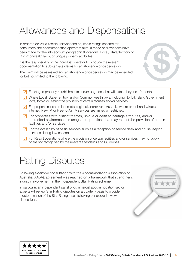# Allowances and Dispensations

In order to deliver a flexible, relevant and equitable ratings scheme for consumers and accommodation operators alike, a range of allowances have been made to take into account geographical locations, Local, State/Territory or Commonwealth laws, or unique property attributes.

It is the responsibility of the individual operator to produce the relevant documentation to substantiate claims for an allowance or dispensation.

The claim will be assessed and an allowance or dispensation may be extended for but not limited to the following:



- $\sqrt{ }$  For staged property refurbishments and/or upgrades that will extend beyond 12 months.
- $\sqrt{\phantom{a}}$  Where Local, State/Territory and/or Commonwealth laws, including Norfolk Island Government laws, forbid or restrict the provision of certain facilities and/or services.
- $\sqrt{\phantom{a}}$  For properties located in remote, regional and/or rural Australia where broadband-wireless internet, Pay-TV, or Free-to-Air TV services are limited or restricted.
- $\sqrt{\phantom{a}}$  For properties with distinct themes, unique or certified heritage attributes, and/or accredited environmental management practices that may restrict the provision of certain facilities and/or services.
- $\sqrt{\phantom{a}}$  For the availability of basic services such as a reception or service desk and housekeeping services during low season.
- $\sqrt{\phantom{a}}$  For Resort operations where the provision of certain facilities and/or services may not apply, or are not recognised by the relevant Standards and Guidelines.

# Rating Disputes

Following extensive consultation with the Accommodation Association of Australia (AAoA), agreement was reached on a framework that strengthens industry involvement in the independent Star Rating scheme.

In particular, an independent panel of commercial accommodation sector experts will review Star Rating disputes on a quarterly basis to provide a determination of the Star Rating result following considered review of all positions.



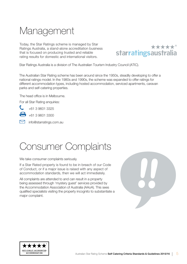# Management

Today, the Star Ratings scheme is managed by Star Ratings Australia, a stand-alone accreditation business that is focused on producing trusted and reliable rating results for domestic and international visitors.



Star Ratings Australia is a division of The Australian Tourism Industry Council (ATIC).

The Australian Star Rating scheme has been around since the 1950s, steadily developing to offer a national ratings model. In the 1980s and 1990s, the scheme was expanded to offer ratings for different accommodation types, including hosted accommodation, serviced apartments, caravan parks and self-catering properties.

The head office is in Melbourne.

For all Star Rating enquiries:



+61 3 9601 3300

mfo@starratings.com.au

# Consumer Complaints

We take consumer complaints seriously.

If a Star Rated property is found to be in breach of our Code of Conduct, or if a major issue is raised with any aspect of accommodation standards, then we will act immediately.

All complaints are attended to and can result in a property being assessed through 'mystery guest' services provided by the Accommodation Association of Australia (AAoA). This sees qualified specialists visiting the property incognito to substantiate a major complaint.



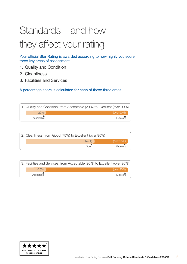# Standards – and how they affect your rating

Your official Star Rating is awarded according to how highly you score in three key areas of assessment:

- 1. Quality and Condition
- 2. Cleanliness
- 3. Facilities and Services

A percentage score is calculated for each of these three areas:

|            | 1. Quality and Condition: from Acceptable (20%) to Excellent (over 90%) |
|------------|-------------------------------------------------------------------------|
| $(20\%)$   | (over $90\%$ )                                                          |
| Acceptable | <b>Excellent</b>                                                        |

| 2. Cleanliness: from Good (75%) to Excellent (over 95%) |       |                |  |  |
|---------------------------------------------------------|-------|----------------|--|--|
|                                                         | (75%) | (over $95\%$ ) |  |  |
| Good<br>Excellent                                       |       |                |  |  |

|            | 3. Facilities and Services: from Acceptable (20%) to Excellent (over 90%) |
|------------|---------------------------------------------------------------------------|
| (20%)      | (over $90\%$ )                                                            |
| Acceptable | Excellent                                                                 |

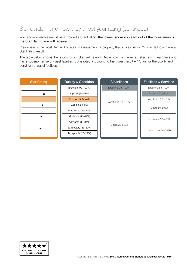### Standards – and how they affect your rating (continued)

Your score in each area will be accorded a Star Rating: the lowest score you earn out of the three areas is the Star Rating you will receive.

Cleanliness is the most demanding area of assessment. A property that scores below 75% will fail to achieve a Star Rating result.

The table below shows the results for a 4 Star self catering. Note how it achieves excellence for cleanliness and has a superior range of guest facilities, but is rated according to the lowest result – 4 Stars for the quality and condition of guest facilities.

| <b>Star Rating</b> | <b>Quality &amp; Condition</b> | <b>Cleanliness</b>  | <b>Facilities &amp; Services</b> |  |
|--------------------|--------------------------------|---------------------|----------------------------------|--|
|                    | Excellent (90-100%)            | Excellent (95-100%) | Excellent (85-100%)              |  |
| $\star$            | Superior (75-89%)              |                     | Superior (70-84%)                |  |
|                    | Very Good (65-74%)             |                     | Very Good (60-69%)               |  |
| ★                  | Good (55-64%)                  | Very Good (85-94%)  |                                  |  |
|                    | Reasonable (45-54%)            |                     | Good (50-59%)                    |  |
| $\star$            | Moderate (35-44%)              |                     |                                  |  |
|                    | Adequate (30-34%)              | Good (75-84%)       | Moderate (30-49%)                |  |
| *                  | Satisfactory (25-29%)          |                     | Acceptable (20-29%)              |  |
|                    | Acceptable (20-24%)            |                     |                                  |  |
|                    |                                |                     |                                  |  |

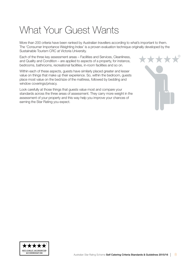# What Your Guest Wants

More than 200 criteria have been ranked by Australian travellers according to what's important to them. The 'Consumer Importance Weighting Index' is a proven evaluation technique originally developed by the Sustainable Tourism CRC at Victoria University.

Each of the three key assessment areas – Facilities and Services, Cleanliness, and Quality and Condition – are applied to aspects of a property, for instance, bedrooms, bathrooms, recreational facilities, in-room facilities and so on.

Within each of these aspects, guests have similarly placed greater and lesser value on things that make up their experience. So, within the bedroom, guests place most value on the bed/size of the mattress, followed by bedding and window coverings/privacy.

Look carefully at those things that guests value most and compare your standards across the three areas of assessment. They carry more weight in the assessment of your property and this way help you improve your chances of earning the Star Rating you expect.



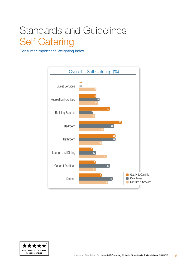# Standards and Guidelines – Self Catering

Consumer Importance Weighting Index



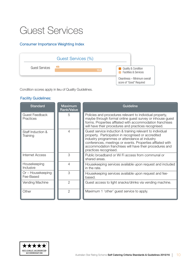# Guest Services

#### Consumer Importance Weighting Index

|                       | Guest Services (%) |      |                                                                          |
|-----------------------|--------------------|------|--------------------------------------------------------------------------|
| <b>Guest Services</b> | n/a                | 10.0 | <b>Quality &amp; Condition</b><br>×.<br><b>Facilities &amp; Services</b> |
|                       |                    |      | Cleanliness - Minimum overall<br>score of "Good" Required                |

Condition scores apply in lieu of Quality Guidelines.

| <b>Standard</b>                    | <b>Maximum</b><br><b>Rank/Value</b> | <b>Guideline</b>                                                                                                                                                                                                                                                                                                    |
|------------------------------------|-------------------------------------|---------------------------------------------------------------------------------------------------------------------------------------------------------------------------------------------------------------------------------------------------------------------------------------------------------------------|
| <b>Guest Feedback</b><br>Practices | 5                                   | Policies and procedures relevant to individual property,<br>maybe through formal online guest survey or inhouse guest<br>forms. Properties affliated with accommodation franchises<br>will have their procedures and practices recognised.                                                                          |
| Staff Induction &<br>Training      | $\overline{4}$                      | Guest service induction & training relevant to individual<br>property. Participation in recognised or accredited<br>industry programmes or attendance at industry<br>conferences, meetings or events. Properties affliated with<br>accommodation franchises will have their procedures and<br>practices recognised. |
| <b>Internet Access</b>             | 3                                   | Public broadband or Wi Fi access from communal or<br>shared areas.                                                                                                                                                                                                                                                  |
| Housekeeping<br>Inclusive          | 4                                   | Housekeeping services available upon request and included<br>in the rate.                                                                                                                                                                                                                                           |
| Or - Housekeeping<br>Fee-Based     | 3                                   | Housekeeping services available upon request and fee-<br>based.                                                                                                                                                                                                                                                     |
| Vending Machine                    | $\overline{2}$                      | Guest access to light snacks/drinks via vending machine.                                                                                                                                                                                                                                                            |
| Other                              | 2                                   | Maximum 1 'other' guest service to apply.                                                                                                                                                                                                                                                                           |

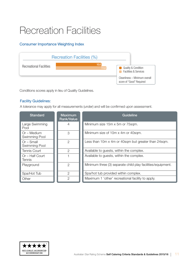# Recreation Facilities

#### Consumer Importance Weighting Index



Conditions scores apply in lieu of Quality Guidelines.

#### Facility Guidelines:

A tolerance may apply for all measurements (under) and will be confirmed upon assessment.

| <b>Standard</b>               | Maximum<br>Rank/Value | Guideline                                                   |  |
|-------------------------------|-----------------------|-------------------------------------------------------------|--|
| Large Swimming<br>Pool        | 4                     | Minimum size 15m x 5m or 75sqm.                             |  |
| Or – Medium<br>Swimming Pool  | 3                     | Minimum size of 10m x 4m or 40sqm.                          |  |
| $Or$ – Small<br>Swimming Pool | $\mathcal{P}$         | Less than 10m x 4m or 40sqm but greater than 24sqm.         |  |
| Tennis Court                  | $\mathcal{P}$         | Available to guests, within the complex.                    |  |
| Or - Half Court<br>Tennis     |                       | Available to guests, within the complex.                    |  |
| Playground                    | $\overline{2}$        | Minimum three (3) separate child play facilities/equipment. |  |
| Spa/Hot Tub                   | $\overline{2}$        | Spa/hot tub provided within complex.                        |  |
| Other                         | 2                     | Maximum 1 'other' recreational facility to apply.           |  |

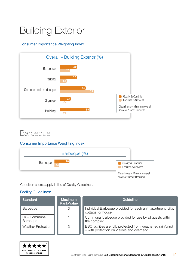# Building Exterior

#### Consumer Importance Weighting Index



### Barbeque

#### Consumer Importance Weighting Index



Condition scores apply in lieu of Quality Guidelines.

| <b>Standard</b>           | Maximum<br>Rank/Value | Guideline                                                                                                  |
|---------------------------|-----------------------|------------------------------------------------------------------------------------------------------------|
| Barbeque                  | 3                     | Individual Barbeque provided for each unit, apartment, villa,<br>cottage, or house.                        |
| Or - Communal<br>Barbeque |                       | Communal barbeque provided for use by all guests within<br>the complex.                                    |
| <b>Weather Protection</b> | 3                     | BBQ facilities are fully protected from weather eg rain/wind<br>- with protection on 2 sides and overhead. |

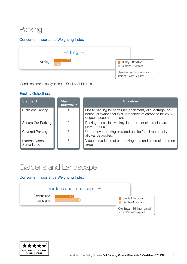## Parking

#### Consumer Importance Weighting Index



Condition scores apply in lieu of Quality Guidelines.

#### Facility Guidelines:

| <b>Standard</b>                | <b>Maximum</b><br>Rank/Value | Guideline                                                                                                                                         |
|--------------------------------|------------------------------|---------------------------------------------------------------------------------------------------------------------------------------------------|
| <b>Sufficient Parking</b>      |                              | Onsite parking for each unit, apartment, villa, cottage, or<br>house, allowance for CBD properties of carspace for 25%<br>of guest accommodation. |
| Secure Car Parking             | ◯                            | Parking accessible via key, intercom, or electronic card<br>provided onsite.                                                                      |
| Covered Parking                | 3                            | Under cover parking provided on site for all rooms, city<br>allowance applies.                                                                    |
| External Video<br>Surveillance | З                            | Video surveillance of car parking area and external common<br>areas.                                                                              |

### Gardens and Landscape

#### Consumer Importance Weighting Index



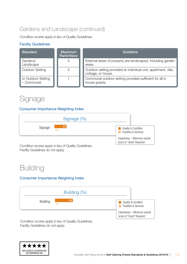### Gardens and Landscape (continued)

Condition scores apply in lieu of Quality Guidelines.

#### Facility Guidelines:

| <b>Standard</b>                  | <b>Maximum</b><br>Rank/Value | Guideline                                                                            |
|----------------------------------|------------------------------|--------------------------------------------------------------------------------------|
| Gardens/<br>Landscape            |                              | External areas of property are landscaped, including garden<br>areas.                |
| Outdoor Setting                  | 3                            | Outdoor setting provided at individual unit, apartment, villa,<br>cottage, or house. |
| or Outdoor Setting<br>- Communal |                              | Communal outdoor setting provided sufficient for all in<br>house guests.             |

### Signage

#### Consumer Importance Weighting Index



Condition scores apply in lieu of Quality Guidelines. Facility Guidelines do not apply.

### **Building**

#### Consumer Importance Weighting Index



Condition scores apply in lieu of Quality Guidelines. Facility Guidelines do not apply.

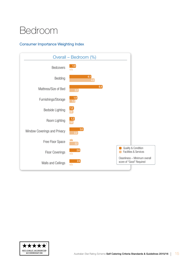# Bedroom

#### Consumer Importance Weighting Index



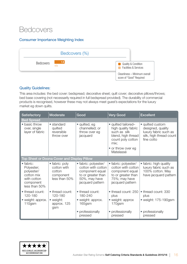### Bedcovers

#### Consumer Importance Weighting Index

| Bedcovers (%)                                   |                                                           |
|-------------------------------------------------|-----------------------------------------------------------|
| $\blacktriangle$ 1.9<br><b>Bedcovers</b><br>n/a | Quality & Condition<br><b>Facilities &amp; Services</b>   |
|                                                 | Cleanliness - Minimum overall<br>score of "Good" Required |

#### Quality Guidelines:

This area includes: the bed cover: bedspread; decorative sheet; quilt cover; decorative pillows/throws; bed base covering (not necessarily required in full bedspread provided). The durability of commercial products is recognised, however these may not always meet guest's expectations for the luxury market eg down quilts.

| <b>Satisfactory</b>                                                                              | Moderate                                                              | Good                                                                                                                     | <b>Very Good</b>                                                                                                                                 | <b>Excellent</b>                                                                                        |  |  |
|--------------------------------------------------------------------------------------------------|-----------------------------------------------------------------------|--------------------------------------------------------------------------------------------------------------------------|--------------------------------------------------------------------------------------------------------------------------------------------------|---------------------------------------------------------------------------------------------------------|--|--|
| <b>Bed Spread</b>                                                                                |                                                                       |                                                                                                                          |                                                                                                                                                  |                                                                                                         |  |  |
| • basic throw<br>over, single<br>layer of fabric                                                 | $\bullet$ standard<br>quilted<br>reversible<br>throw over             | • quilted, eg<br>channelled; or<br>throw over eg<br>jacquard                                                             | • quilted tailored-<br>high quality fabric<br>such as silk<br>blend, high thread<br>count poly cotton<br>mix:<br>• or throw over eg<br>Matelassé | · quilted custom<br>designed, quality<br>luxury fabric such as<br>silk, high thread count<br>fine cotto |  |  |
|                                                                                                  | Top Sheet or Doona Cover and Display Pillow                           |                                                                                                                          |                                                                                                                                                  |                                                                                                         |  |  |
| • fabric:<br>Polyester;<br>polyester/<br>cotton mix<br>with cotton<br>component<br>less than 50% | • fabric: poly<br>cotton with<br>cotton<br>component<br>less than 50% | • fabric: polyester/<br>cotton with cotton<br>component equal<br>to or greater than<br>50%, may have<br>jacquard pattern | • fabric: polyester/<br>cotton with cotton<br>component equal<br>to or greater than<br>75%; may have<br>jacquard pattern                         | • fabric: high quality<br>luxury fabric such as<br>100% cotton. May<br>have jacquard pattern            |  |  |
| • thread count:<br>120-180<br>• weight: approx.<br>110gsm                                        | • thread count:<br>120-180<br>• weight:<br>approx. 125<br>gsm         | • thread count:<br>180-240<br>• weight: approx.<br>165gsm                                                                | • thread count: 250<br>plus<br>• weight: approx<br>170gsm                                                                                        | • thread count: 330<br>plus<br>• weight: 175-190gsm                                                     |  |  |
|                                                                                                  |                                                                       | • professionally<br>pressed                                                                                              | • professionally<br>pressed                                                                                                                      | • professionally<br>pressed                                                                             |  |  |

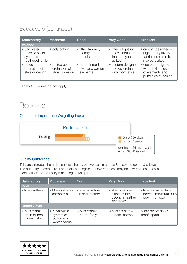### Bedcovers (continued)

| Satisfactory                                                  | Moderate                                          | Good                                           | <b>Very Good</b>                                                  | <b>Excellent</b>                                                                              |
|---------------------------------------------------------------|---------------------------------------------------|------------------------------------------------|-------------------------------------------------------------------|-----------------------------------------------------------------------------------------------|
| Valance                                                       |                                                   |                                                |                                                                   |                                                                                               |
| • uncovered<br>base or basic<br>synthetic<br>'gathered' style | • poly cotton                                     | • fitted tailored;<br>factory<br>upholstered   | • fitted of quality<br>heavy fabric or<br>lined, maybe<br>quilted | $\bullet$ custom designed $-$<br>high quality luxury<br>fabric such as silk,<br>maybe quilted |
| $\bullet$ no co-<br>ordination of<br>style or design          | • limited co-<br>ordination of<br>style or design | • co-ordinated<br>style and design<br>elements | • custom designed<br>and co-ordinated<br>with room style          | • custom designed<br>with obvious use<br>of elements and<br>principles of design              |

Facility Guidelines do not apply.

### Bedding

#### Consumer Importance Weighting Index



#### Quality Guidelines:

This area includes the quilt/blankets, sheets, pillowcases, mattress & pillow protectors & pillows. The durability of commercial products is recognised, however these may not always meet guest's expectations for the luxury market eg down quilts.

| Satisfactory                                   | Moderate                                                    | Good                                          | <b>Very Good</b>                                                             | <b>Excellent</b>                                                      |
|------------------------------------------------|-------------------------------------------------------------|-----------------------------------------------|------------------------------------------------------------------------------|-----------------------------------------------------------------------|
| Quilt                                          |                                                             |                                               |                                                                              |                                                                       |
| $\bullet$ fill – synthetic                     | $\bullet$ fill – synthetic/<br>cotton mix                   | $\bullet$ fill – microfiber<br>blend; feather | $\bullet$ fill – microfiber<br>blend, minimum<br>350gsm; feather<br>and down | $\bullet$ fill – goose or duck<br>down - minimum 90%<br>down; or wool |
| <b>Doona Cover</b>                             |                                                             |                                               |                                                                              |                                                                       |
| • outer fabric:<br>spun or non<br>woven fabric | • outer fabric:<br>synthetic/<br>cotton mix<br>woven fabric | • outer fabric:<br>cotton/poly                | $\bullet$ outer fabric: $-$<br>japara cotton                                 | outer fabric: down<br>proof japara                                    |

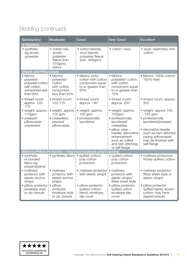### Bedding (continued)

| Satisfactory                                                                              | Moderate                                                                        | Good                                                                                   | <b>Very Good</b>                                                                                                                                                                                         | <b>Excellent</b>                                                                                                                                                                          |
|-------------------------------------------------------------------------------------------|---------------------------------------------------------------------------------|----------------------------------------------------------------------------------------|----------------------------------------------------------------------------------------------------------------------------------------------------------------------------------------------------------|-------------------------------------------------------------------------------------------------------------------------------------------------------------------------------------------|
| or Blankets                                                                               |                                                                                 |                                                                                        |                                                                                                                                                                                                          |                                                                                                                                                                                           |
| • synthetic<br>eg acrylic,<br>polyester                                                   | • cotton mix<br>acrylic,<br>polyester<br>fleece (min<br>370gsm),<br>velour      | • cotton blends,<br>wool blends,<br>polyester fleece<br>$(min 400$ gsm $)$             | · cotton, wool                                                                                                                                                                                           | · wool; cashmere; fine<br>cotton                                                                                                                                                          |
| <b>Sheets and Pillowcases</b>                                                             |                                                                                 |                                                                                        |                                                                                                                                                                                                          |                                                                                                                                                                                           |
| · fabrics:<br>polyester;<br>polyester/cotton<br>with cotton<br>component less<br>than 50% | · fabrics:<br>polyester/<br>cotton<br>with cotton<br>component<br>less than 50% | · fabrics: poly/<br>cotton with cotton<br>component equal<br>to or greater than<br>50% | • fabrics:<br>polyester/cotton<br>with cotton<br>component equal<br>to or greater than<br>75%                                                                                                            | • fabrics: 100% cotton;<br>100% linen                                                                                                                                                     |
| • thread count:<br>approx. 120-<br>170                                                    | • thread count:<br>120-170                                                      | • thread count:<br>approx. 180                                                         | • thread count:<br>approx. 250                                                                                                                                                                           | • thread count: approx.<br>320                                                                                                                                                            |
| • weight: approx.<br>110gsm<br>• creased/<br>pillowcases<br>unpressed                     | • weight: approx.<br>$125$ gsm<br>· creaseless,<br>pressed<br>pillowcases       | • weight: approx.<br>165 gsm<br>· professionally<br>laundered                          | • weight: approx.<br>155gsm<br>· professionally<br>laundered/<br>creaseless<br>$\bullet$ pillow case $-$<br>header, decorative<br>enhancement<br>such as cuffed<br>and twin stitching;<br>or self flange | • weight: approx 145<br>$-155$ gsm<br>• professionally<br>laundered/pressed<br>· decorative header<br>such as hem stitched,<br>piping, pillowcases<br>may be finished with<br>self flange |
|                                                                                           |                                                                                 | Mattress/Pillow Protectors - may have moisture proof backing                           |                                                                                                                                                                                                          |                                                                                                                                                                                           |
| • synthetic<br>or bonded<br>fabric eg<br>polypropylene                                    | • synthetic fabric                                                              | • quilted cotton/<br>poly cotton<br>protectors                                         | • quilted cotton/<br>poly cotton<br>protectors                                                                                                                                                           | • mattress protectors<br>thickly quilted, cotton                                                                                                                                          |
| • mattress<br>protector with<br>elastic anchor<br>straps<br>• pillow protector            | • mattress<br>protector with<br>elastic anchor<br>straps<br>pillow<br>$\bullet$ | • mattress protector<br>with elastic straps<br>• pillow protector                      | • mattress<br>protector with<br>elastic straps/<br>fitted sheet style<br>· pillow protector                                                                                                              | • mattress protector<br>fitted sheet style or<br>elastic straps<br>· pillow protector                                                                                                     |
| envelope style<br>or zip closure                                                          | protector,<br>envelope style<br>or zip closure                                  | quilted cotton/<br>blend, envelope<br>slip cover                                       | quilted cotton<br>envelope slip<br>cover                                                                                                                                                                 | quilted tightly woven<br>cotton, may have<br>zipped closure                                                                                                                               |

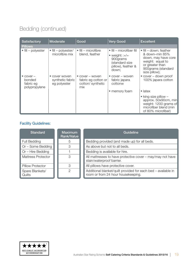### Bedding (continued)

| <b>Satisfactory</b>                                         | Moderate                                          | Good                                                                      | <b>Very Good</b>                                                                                            | <b>Excellent</b>                                                                                                                                      |
|-------------------------------------------------------------|---------------------------------------------------|---------------------------------------------------------------------------|-------------------------------------------------------------------------------------------------------------|-------------------------------------------------------------------------------------------------------------------------------------------------------|
| <b>Pillows</b>                                              |                                                   |                                                                           |                                                                                                             |                                                                                                                                                       |
| $\bullet$ fill – polyester                                  | $\bullet$ fill – polyester/<br>microfibre mix     | $\bullet$ fill – microfibre<br>blend, feather                             | • fill – microfiber fill<br>• weight: $\gt$ /=<br>900grams<br>(standard size<br>pillow), feather &<br>down: | $\bullet$ fill – down; feather<br>& down-min 85%<br>down, may have core<br>weight: equal to<br>or greater than<br>900grams (standard<br>size pillow); |
| $\bullet$ cover $-$<br>bonded<br>fabric eg<br>polypropylene | • cover woven<br>synthetic fabric<br>eg polyester | $\bullet$ cover – woven<br>fabric eg cotton or<br>cotton/synthetic<br>mix | $\bullet$ cover $-$ woven<br>fabric japara<br>cottonw                                                       | $\bullet$ cover – down proof<br>100% japara cotton                                                                                                    |
|                                                             |                                                   |                                                                           | • memory foam                                                                                               | $\bullet$ latex                                                                                                                                       |
|                                                             |                                                   |                                                                           |                                                                                                             | $\bullet$ king size pillow $-$<br>approx. 50x90cm, min<br>weight: 1200 grams of<br>microfiber blend (min<br>of 80% microfiber)                        |

| <b>Standard</b>           | <b>Maximum</b><br><b>Rank/Value</b>                                                          | Guideline                                                                                           |
|---------------------------|----------------------------------------------------------------------------------------------|-----------------------------------------------------------------------------------------------------|
| <b>Full Bedding</b>       | 5                                                                                            | Bedding provided (and made up) for all beds.                                                        |
| Or - Some Bedding         | 3                                                                                            | As above but not to all beds.                                                                       |
| Or - Hire Bedding         |                                                                                              | Bedding is available for hire.                                                                      |
| <b>Mattress Protector</b> | All mattresses to have protective cover – may/may not have<br>3<br>stain/waterproof barrier. |                                                                                                     |
| <b>Pillow Protector</b>   | 3                                                                                            | All pillows have protective cover.                                                                  |
| Spare Blankets/<br>Quilts | 2                                                                                            | Additional blanket/quilt provided for each bed - available in<br>room or from 24 hour housekeeping. |

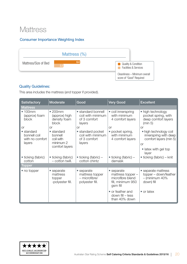### **Mattress**

#### Consumer Importance Weighting Index



#### Quality Guidelines:

This area includes the mattress (and topper if provided).

| <b>Satisfactory</b>                                     | <b>Moderate</b>                                                   | Good                                                                | <b>Very Good</b>                                                                     | <b>Excellent</b>                                                                                                        |  |  |  |
|---------------------------------------------------------|-------------------------------------------------------------------|---------------------------------------------------------------------|--------------------------------------------------------------------------------------|-------------------------------------------------------------------------------------------------------------------------|--|--|--|
| <b>Mattress</b>                                         |                                                                   |                                                                     |                                                                                      |                                                                                                                         |  |  |  |
| •100mm<br>(approx) foam<br>block                        | •200mm<br>(approx) high<br>density foam<br>block                  | • standard bonnell<br>coil with minimum<br>of 3 comfort<br>layers   | • coil innerspring<br>with minimum<br>4 comfort layers                               | • high technology<br>pocket spring, with<br>deep comfort layers<br>(min 5)                                              |  |  |  |
| <b>or</b>                                               | or                                                                | <b>or</b>                                                           | or                                                                                   | <b>or</b>                                                                                                               |  |  |  |
| • standard<br>bonnell coil<br>with no comfort<br>layers | • standard<br>bonnell<br>coil with<br>minimum 2<br>comfort layers | • standard pocket<br>coil with minimum<br>of 3 comfort<br>layers    | • pocket spring,<br>with minimum<br>4 comfort layers                                 | • high technology coil<br>innerspring with deep<br>comfort layers (min 5)<br><b>or</b><br>• latex with gel top<br>layer |  |  |  |
| • ticking (fabric)<br>cotton                            | • ticking (fabric)<br>- cotton twill.                             | $\bullet$ ticking (fabric) –<br>cotton chintz                       | $\bullet$ ticking (fabric) –<br>damask                                               | $\bullet$ ticking (fabric) – knit                                                                                       |  |  |  |
| Topper                                                  |                                                                   |                                                                     |                                                                                      |                                                                                                                         |  |  |  |
| • no topper                                             | • separate<br>mattress<br>topper<br>-polyester fill.              | • separate<br>mattress topper<br>$-$ microfibre/<br>polyester fill. | • separate<br>mattress topper -<br>microfibre blend<br>fill, minimum 950<br>gsm fill | • separate mattress<br>topper - down/feather<br>$-$ (minimum 40%<br>down) fill                                          |  |  |  |
|                                                         |                                                                   |                                                                     | • or feather and<br>down fill - less<br>than 40% down                                | • or latex                                                                                                              |  |  |  |

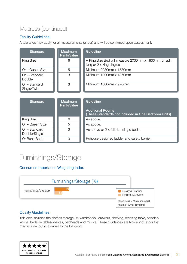### Mattress (continued)

#### Facility Guidelines:

A tolerance may apply for all measurements (under) and will be confirmed upon assessment.

| <b>Standard</b>                | <b>Maximum</b><br><b>Rank/Value</b> | <b>Guideline</b>                                                                  |
|--------------------------------|-------------------------------------|-----------------------------------------------------------------------------------|
| <b>King Size</b>               | 6                                   | A King Size Bed will measure 2030mm x 1830mm or split<br>king or 2 x king singles |
| Or - Queen Size                | 5                                   | Minimum 2030mm x 1530mm                                                           |
| Or - Standard<br>Double        | 3                                   | Minimum 1900mm x 1370mm                                                           |
| Or - Standard<br>Single/Twin   | 3                                   | Minimum 1800mm x 920mm                                                            |
|                                |                                     |                                                                                   |
| <b>Standard</b>                | <b>Maximum</b><br><b>Rank/Value</b> | <b>Guideline</b>                                                                  |
|                                |                                     |                                                                                   |
|                                |                                     | <b>Additional Rooms</b><br>(These Standards not included in One Bedroom Units)    |
| <b>King Size</b>               | 6                                   | As above.                                                                         |
| Or - Queen Size                | 5                                   | As above.                                                                         |
| Or - Standard<br>Double/Single | 3                                   | As above or 2 x full size single beds.                                            |

### Furnishings/Storage

#### Consumer Importance Weighting Index



#### Quality Guidelines:

This area includes the clothes storage i.e. wardrobe(s), drawers, shelving, dressing table, handles/ knobs, bedside tables/shelves, bedheads and mirrors. These Guidelines are typical indicators that may include, but not limited to the following:

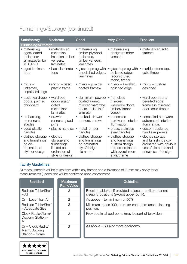### Furnishings/Storage (continued)

| <b>Satisfactory</b>                                                                | <b>Moderate</b>                                                                            | Good                                                                                      | <b>Very Good</b>                                                                                              | <b>Excellent</b>                                                                                                  |
|------------------------------------------------------------------------------------|--------------------------------------------------------------------------------------------|-------------------------------------------------------------------------------------------|---------------------------------------------------------------------------------------------------------------|-------------------------------------------------------------------------------------------------------------------|
| <b>Furnishings/Storage</b>                                                         |                                                                                            |                                                                                           |                                                                                                               |                                                                                                                   |
| • material eg<br>aged/ dated<br>melamine/<br>laminates/timber<br>MDF, PVC          | • materials eg<br>melamine,<br>imitation timber<br>veneers.<br>laminates                   | · materials eg<br>timber plywood,<br>melamine,<br>timber veneers,<br>laminates            | • materials eg<br>designer timber<br>veneers                                                                  | · materials eg solid<br>timbers                                                                                   |
| • aged laminate<br>tops                                                            | · basic laminate<br>tops                                                                   | • glass tops eg with<br>unpolished edges,<br>laminates                                    | · glass tops eg with<br>polished edges<br>reconstituted<br>stone, timber                                      | • marble, stone top,<br>solid timber                                                                              |
| $\bullet$ mirror $-$<br>unframed,<br>unpolished edge                               | $\bullet$ mirror – basic<br>plastic frame                                                  | $\bullet$ mirror – powder<br>coated framew                                                | • mirror – bevelled,<br>polished edge                                                                         | $\bullet$ mirror – custom<br>designed                                                                             |
| · basic wardrobe<br>doors, painted<br>chipboard                                    | $\bullet$ wardrobe<br>doors aged/<br>dated<br>melamine/<br>laminates                       | · aluminium/powder<br>coated framed,<br>mirrored wardrobe<br>doors, melamine/<br>laminate | frameless<br>$\bullet$<br>mirrored<br>wardrobe doors,<br>timber/timber<br>veneer                              | • wardrobe doors:<br>bevelled edge<br>frameless mirrored<br>door; solid timber                                    |
| • no backing,<br>no runners,<br>staples                                            | • drawer<br>runners, glued<br>joins                                                        | · backed, drawer<br>runners, screws                                                       | • concealed<br>hardware, interior<br>illumination                                                             | • concealed hardware,<br>automated interior<br>illumination.                                                      |
| • aged plastic<br>handles                                                          | • plastic handles                                                                          | • metal, timber<br>handles                                                                | • brass, stainless<br>steel handles                                                                           | • custom designed<br>handles/openers                                                                              |
| • clothes storage<br>and furnishings<br>no co-<br>ordination of<br>style or design | • clothes<br>storage and<br>furnishings<br>limited co-<br>ordination of<br>style or design | • clothes storage<br>and furnishings<br>co-ordinated<br>style/design<br>elements          | • clothes storage<br>and furnishings<br>custom design<br>and co-ordinated<br>with overall room<br>style/theme | • clothes storage<br>and furnishings co-<br>ordinated with obvious<br>use of elements and<br>principles of design |

#### Facility Guidelines:

\*\*\*\*\* OFFICIALLY ACCREDITED **ACCOMMODATION** 

All measurements will be taken from within any frames and a tolerance of 20mm may apply for all measurements (under) and will be confirmed upon assessment.

| <b>Standard</b>                                      | <b>Maximum</b><br><b>Rank/Value</b> | Guideline                                                                                         |
|------------------------------------------------------|-------------------------------------|---------------------------------------------------------------------------------------------------|
| Bedside Table/Shelf<br>$-$ All                       | 3                                   | Bedside table/shelf provided adjacent to all permanent<br>sleeping positions (except upper bunk). |
| Or - Less Than All                                   | 2                                   | As above $-$ to minimum of 50%.                                                                   |
| Bedside Table/Shelf<br>- Adequate Size               | $\mathcal{P}$                       | Minimum space 900sqmm for each permanent sleeping<br>position.                                    |
| Clock Radio/Alarm/<br>Docking Station -<br>All       | 3                                   | Provided in all bedrooms (may be part of television)                                              |
| Or – Clock Radio/<br>Alarm/Docking<br>Station - Some | $\mathcal{P}$                       | As above – 50% or more bedrooms.                                                                  |

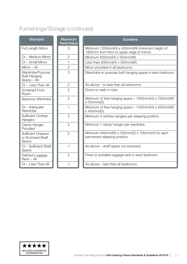### Furnishings/Storage (continued)

| <b>Standard</b>                                         | <b>Maximum</b><br><b>Rank/Value</b> | Guideline                                                                                      |
|---------------------------------------------------------|-------------------------------------|------------------------------------------------------------------------------------------------|
| Full Length Mirror                                      | 3                                   | Minimum 1200mm(H) x 400mm(W) (minimum height of<br>1800mm from floor to upper edge of mirror). |
| Or - Medium Mirror                                      | $\overline{2}$                      | Minimum 600mm(H) x 350mm(W).                                                                   |
| Or - Small Mirror                                       | 1                                   | Less than $600mm(H) \times 350mm(W)$ .                                                         |
| Mirror $-$ All                                          | $\mathbf{2}$                        | Mirror provided in all bedrooms.                                                               |
| Wardrobe/Purpose<br><b>Built Hanging</b><br>Space - All | 3                                   | Wardrobe or purpose built hanging space in each bedroom.                                       |
| Or - Less Than All                                      | $\overline{2}$                      | As above – to less than all bedrooms.                                                          |
| <b>Screened From</b><br>Room                            | $\overline{2}$                      | Doors or walk in robe.                                                                         |
| Spacious Wardrobe                                       | $\overline{2}$                      | Minimum of free hanging space $-1550$ mm(H) x 750mm(W)<br>x 550mm(D).                          |
| Or – Adequate<br>Wardrobe                               | 1                                   | Minimum of free hanging space $-1400$ mm(H) x 450mm(W)<br>x 450mm(D).                          |
| <b>Sufficient Clothes</b><br>Hangers                    | $\overline{2}$                      | Minimum 3 clothes hangers per sleeping position.                                               |
| Clamp Hanger<br>Provided                                | $\overline{2}$                      | Minimum 1 clamp hanger per wardrobe.                                                           |
| <b>Sufficient Drawers</b><br>or Enclosed Shelf<br>Space | $\overline{2}$                      | Minimum 400mm(W) $x$ 300mm(D) $x$ 100mm(H) for each<br>permanent sleeping position.            |
| Or - Sufficient Shelf<br>Space                          | $\mathbf{1}$                        | As above - shelf space not enclosed.                                                           |
| Defined Luggage<br>$Back - All$                         | $\overline{2}$                      | Fixed or portable luggage rack in each bedroom.                                                |
| Or - Less Than All                                      | $\mathbf{1}$                        | As above – less than all bedrooms.                                                             |

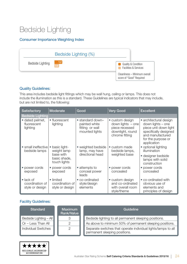## Bedside Lighting

#### Consumer Importance Weighting Index

|                  | Bedside Lighting (%)                                      |                                                                    |
|------------------|-----------------------------------------------------------|--------------------------------------------------------------------|
| Bedside Lighting | $\begin{array}{c} \boxed{1.2} \\ \boxed{0.6} \end{array}$ | <b>Quality &amp; Condition</b><br><b>Facilities &amp; Services</b> |
|                  |                                                           | Cleanliness - Minimum overall<br>score of "Good" Required          |

#### Quality Guidelines:

This area includes bedside light fittings which may be wall hung, ceiling or lamps. This does not include the illumination as this is a standard. These Guidelines are typical indicators that may include, but are not limited to, the following:

| Satisfactory                                            | <b>Moderate</b>                                 | Good                                                                   | <b>Very Good</b>                                                                                 | <b>Excellent</b>                                                                                                                                       |  |  |  |  |
|---------------------------------------------------------|-------------------------------------------------|------------------------------------------------------------------------|--------------------------------------------------------------------------------------------------|--------------------------------------------------------------------------------------------------------------------------------------------------------|--|--|--|--|
| <b>Bedside Lighting</b>                                 |                                                 |                                                                        |                                                                                                  |                                                                                                                                                        |  |  |  |  |
| • dated pelmet,<br>fluorescent<br>lighting              | • fluorescent<br>lighting                       | • standard down-<br>painted white<br>fitting or wall<br>mounted lights | • custom design<br>$down$ lights $-$ one<br>piece recessed<br>downlight, round<br>chrome fitting | • architectural design<br>down lights - one<br>piece unit down light<br>specifically designed<br>and manufactured<br>for the purpose or<br>application |  |  |  |  |
| • small ineffective<br>bedside lamps                    | basic light-<br>$\bullet$<br>weight lamp        | • weighted bedside<br>lamp, may have                                   | • custom made<br>bedside lamps,                                                                  | • optional lighting<br>illumination                                                                                                                    |  |  |  |  |
|                                                         | base with<br>basic shade,<br>touch lights       | directional head                                                       | weighted base                                                                                    | • designer bedside<br>lamps with solid<br>construction                                                                                                 |  |  |  |  |
| • power cords<br>exposed                                | • power cords<br>exposed                        | • attempts to<br>conceal power<br>leads                                | • power cords<br>concealed                                                                       | • power cords<br>concealed                                                                                                                             |  |  |  |  |
| $\bullet$ lack of<br>coordination of<br>style or design | • limited<br>coordination of<br>style or design | • co-ordinated<br>style/design<br>elements                             | • custom design<br>and co-ordinated<br>with overall room<br>style/theme                          | • co-ordinated with<br>obvious use of<br>elements and<br>principles of design                                                                          |  |  |  |  |

| Standard                   | Maximum<br>Rank/Value | Guideline                                                                                      |
|----------------------------|-----------------------|------------------------------------------------------------------------------------------------|
| Bedside Lighting - All     | 3                     | Bedside lighting to all permanent sleeping positions.                                          |
| $\Box$ Or – Less Than All  |                       | As above to minimum 50% of permanent sleeping positions.                                       |
| <b>Individual Switches</b> |                       | Separate switches that operate individual lights/lamps to all<br>permanent sleeping positions. |

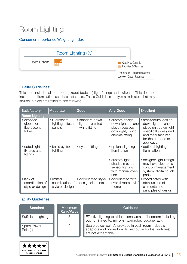## Room Lighting

#### Consumer Importance Weighting Index



#### Quality Guidelines:

This area includes all bedroom (except bedside) light fittings and switches. This does not include the illumination, as this is a standard. These Guidelines are typical indicators that may include, but are not limited to, the following:

| <b>Satisfactory</b>                                     | <b>Moderate</b>                                 | Good                                                 | <b>Very Good</b>                                                                               | <b>Excellent</b>                                                                                                                                       |  |  |  |  |
|---------------------------------------------------------|-------------------------------------------------|------------------------------------------------------|------------------------------------------------------------------------------------------------|--------------------------------------------------------------------------------------------------------------------------------------------------------|--|--|--|--|
| <b>Room Lighting</b>                                    |                                                 |                                                      |                                                                                                |                                                                                                                                                        |  |  |  |  |
| • exposed<br>globes or<br>fluorescent<br>tubes          | • fluorescent<br>lighting diffuser<br>panels    | • standard down<br>lights - painted<br>white fitting | • custom design<br>down lights $-$ one<br>piece recessed<br>downlight, round<br>chrome fitting | • architectural design<br>down lights – one<br>piece unit down light<br>specifically designed<br>and manufactured<br>for the purpose or<br>application |  |  |  |  |
| • dated light<br>fixtures and<br>fittings               | • basic oyster<br>lighting                      | • oyster fittings                                    | • optional lighting<br>illumination                                                            | • optional lighting<br>illumination                                                                                                                    |  |  |  |  |
|                                                         |                                                 |                                                      | • custom light<br>shades may be<br>sensor lighting<br>with manual over-<br>ride                | • designer light fittings,<br>may have electronic<br>control management<br>system, digital touch<br>pads                                               |  |  |  |  |
| $\bullet$ lack of<br>coordination of<br>style or design | • limited<br>coordination of<br>style or design | • coordinated style/<br>design elements              | • coordinated with<br>overall room style/<br>theme                                             | • coordinated with<br>obvious use of<br>elements and<br>principles of design                                                                           |  |  |  |  |

| Standard                       | <b>Maximum</b><br><b>Rank/Value</b> | Guideline                                                                                                                            |
|--------------------------------|-------------------------------------|--------------------------------------------------------------------------------------------------------------------------------------|
| Sufficient Lighting            |                                     | Effective lighting to all functional areas of bedroom including<br>but not limited to: mirror/s, wardrobe, luggage rack.             |
| Spare Power<br>$\mid$ Point(s) |                                     | Spare power point/s provided in each room - double<br>adaptors and power boards (without individual switches)<br>are not acceptable. |

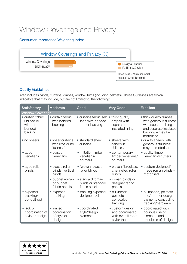## Window Coverings and Privacy

#### Consumer Importance Weighting Index



#### Quality Guidelines:

Area includes blinds, curtains, drapes, window trims (including pelmets). These Guidelines are typical indicators that may include, but are not limited to, the following:

| Satisfactory                                                   | <b>Moderate</b>                                     | Good                                                          | <b>Very Good</b>                                                        | <b>Excellent</b>                                                                                                                    |  |  |  |
|----------------------------------------------------------------|-----------------------------------------------------|---------------------------------------------------------------|-------------------------------------------------------------------------|-------------------------------------------------------------------------------------------------------------------------------------|--|--|--|
| <b>Window Coverings</b>                                        |                                                     |                                                               |                                                                         |                                                                                                                                     |  |  |  |
| • curtain fabric<br>unlined or<br>without<br>bonded<br>backing | • curtain fabric<br>with bonded<br>backing          | • curtains fabric self<br>lined with bonded<br>rubber backing | • thick quality<br>drapes with<br>separate<br>insulated lining          | • thick quality drapes<br>with generous fullness<br>with separate lining<br>and separate insulated<br>backing – may be<br>motorised |  |  |  |
| • no sheers                                                    | • sheer curtains<br>with little or no<br>'fullness' | • standard sheer<br>curtains                                  | • sheers with<br>generous<br>'fullness'                                 | • quality sheers with<br>generous 'fullness'<br>may be motorised                                                                    |  |  |  |
| $\bullet$ aged<br>venetians                                    | • plastic<br>venetians                              | • imitation timber<br>venetians/<br>shutters                  | • contemporary<br>timber venetians/<br>shutters                         | • quality timber<br>venetians/shutters                                                                                              |  |  |  |
| • aged roller<br>blinds                                        | • plastic roller<br>blinds, vertical<br>blinds      | • 'woven' plastic<br>roller blinds                            | • woven fibreglass,<br>channelled roller<br>blinds                      | • custom designed/<br>made roman blinds -<br>motorised                                                                              |  |  |  |
|                                                                | • budget roman<br>or budget<br>fabric panels        | • standard roman<br>blinds or standard<br>fabric panels       | • roman blinds or<br>designer fabric<br>panels                          |                                                                                                                                     |  |  |  |
| • exposed<br>tracking/<br>conduit rod                          | • exposed<br>tracking                               | • tracking exposed,<br>designer rods                          | · bulkheads,<br>pelmets<br>concealed<br>tracking                        | • bulkheads, pelmets<br>and/or other design<br>elements concealing<br>tracking/hardware                                             |  |  |  |
| $\bullet$ lack of<br>coordination of<br>style or design        | • limited<br>coordination<br>of style or<br>design  | • coordinated<br>style/design<br>elements                     | • custom design<br>and coordinated<br>with overall room<br>style/ theme | • coordinated with<br>obvious use of<br>elements and<br>principles of design                                                        |  |  |  |

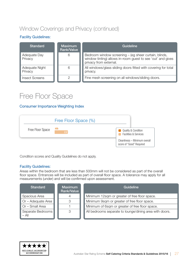### Window Coverings and Privacy (continued)

#### Facility Guidelines:

| <b>Standard</b>           | <b>Maximum</b><br>Rank/Value | Guideline                                                                                                                                      |
|---------------------------|------------------------------|------------------------------------------------------------------------------------------------------------------------------------------------|
| Adequate Day<br>Privacy   | 6                            | Bedroom window screening - (eg sheer curtain, blinds,<br>window tinting) allows in-room guest to see 'out' and gives<br>privacy from external. |
| Adequate Night<br>Privacy | 6                            | All windows/glass sliding doors fitted with covering for total<br>privacy.                                                                     |
| <b>Insect Screens</b>     |                              | Fine mesh screening on all windows/sliding doors.                                                                                              |

### Free Floor Space

#### Consumer Importance Weighting Index



Condition scores and Quality Guidelines do not apply.

#### Facility Guidelines:

Areas within the bedroom that are less than 500mm will not be considered as part of the overall floor space. Entrances will be included as part of overall floor space. A tolerance may apply for all measurements (under) and will be confirmed upon assessment.

| <b>Standard</b>              | <b>Maximum</b><br>Rank/Value | Guideline                                               |  |
|------------------------------|------------------------------|---------------------------------------------------------|--|
| Spacious Area                | 4                            | Minimum 12sqm or greater of free floor space.           |  |
| $\vert$ Or – Adequate Area   | 3                            | Minimum 9sqm or greater of free floor space.            |  |
| Or - Small Area              |                              | Minimum of 6sqm or greater of free floor space.         |  |
| Separate Bedrooms<br>$-$ All | 3                            | All bedrooms separate to lounge/dining area with doors. |  |

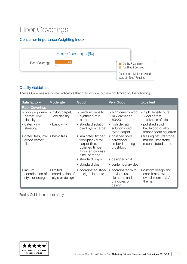## Floor Coverings

#### Consumer Importance Weighting Index



#### Quality Guidelines:

These Guidelines are typical indicators that may include, but are not limited to, the following:

| Satisfactory                                            | Moderate                                        | Good                                                                                                              | <b>Very Good</b>                                                                | <b>Excellent</b>                                                           |  |  |  |  |
|---------------------------------------------------------|-------------------------------------------------|-------------------------------------------------------------------------------------------------------------------|---------------------------------------------------------------------------------|----------------------------------------------------------------------------|--|--|--|--|
| <b>Floor Coverings</b>                                  |                                                 |                                                                                                                   |                                                                                 |                                                                            |  |  |  |  |
| • poly propylene<br>carpet, low<br>density              | • nylon carpet,<br>low density                  | • medium density<br>synthetic/mix<br>carpet                                                                       | • high density wool<br>mix carpet eg<br>80/20                                   | • high density pure<br>wool carpet,<br>thickness of pile                   |  |  |  |  |
| · dated vinyl<br>sheeting                               | • basic vinyl                                   | • standard solution<br>dyed nylon carpet                                                                          | • high density<br>solution dyed<br>nylon carpet                                 | polished solid<br>$\bullet$<br>hardwood quality<br>timber floors eg jarrah |  |  |  |  |
| • dated tiles, low<br>grade carpet<br>tiles             | • basic tiles                                   | • laminated timber<br>floor/plank vinyl,<br>carpet tiles,<br>polished timber<br>floors eg cypress<br>pine, bamboo | • polished solid<br>hardwood<br>timber floors eg<br>brushbox                    | • tiles eg natural stone,<br>marble, limestone,<br>reconstituted stone     |  |  |  |  |
|                                                         |                                                 | • standard vinyls                                                                                                 | • designer vinyl                                                                |                                                                            |  |  |  |  |
|                                                         |                                                 | • standard tiles                                                                                                  | • contemporary tiles                                                            |                                                                            |  |  |  |  |
| $\bullet$ lack of<br>coordination of<br>style or design | • limited<br>coordination of<br>style or design | • coordinated style/<br>design elements                                                                           | • coordinated with<br>obvious use of<br>elements and<br>principles of<br>design | • custom design and<br>coordinated with<br>overall room style/<br>theme    |  |  |  |  |

Facility Guidelines do not apply.

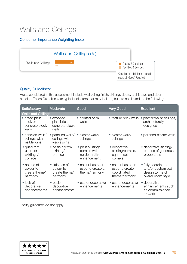## Walls and Ceilings

#### Consumer Importance Weighting Index



#### Quality Guidelines:

Areas considered in this assessment include wall/ceiling finish, skirting, doors, architraves and door handles. These Guidelines are typical indicators that may include, but are not limited to, the following:

| <b>Satisfactory</b>                                  | Moderate                                                 | Good                                                              | <b>Very Good</b>                                                    | <b>Excellent</b>                                                                  |
|------------------------------------------------------|----------------------------------------------------------|-------------------------------------------------------------------|---------------------------------------------------------------------|-----------------------------------------------------------------------------------|
| <b>Walls and Ceilings</b>                            |                                                          |                                                                   |                                                                     |                                                                                   |
| • dated plain<br>brick or<br>concrete block<br>walls | • exposed<br>plain brick or<br>concrete block<br>walls   | • painted brick<br>walls                                          | • feature brick walls                                               | plaster walls/ceilings,<br>$\bullet$<br>architecturally<br>designed               |
| · panelled walls/<br>ceilings with<br>visible joins  | · panelled walls/<br>ceilings with<br>visible joins      | · plaster walls/<br>ceilings                                      | • plaster walls/<br>ceilings                                        | • polished plaster walls                                                          |
| • quad trim<br>used for<br>skirtings/<br>cornice     | · basic narrow<br>skirting/<br>cornice                   | • plain skirting/<br>cornice with<br>no decorative<br>enhancement | • decorative<br>skirting/cornice,<br>square set<br>corners          | • decorative skirting/<br>cornice of generous<br>proportions                      |
| • no use of<br>colour to<br>create theme/<br>harmony | • little use of<br>colour to<br>create theme/<br>harmony | • colour has been<br>used to create a<br>theme/harmony            | • colour has been<br>used to create<br>coordinated<br>theme/harmony | • fully coordinated<br>and/or customised<br>design to match<br>overall room style |
| $\bullet$ lack of<br>decorative<br>enhancements      | • basic<br>decorative<br>enhancements                    | • use of decorative<br>enhancements                               | • use of decorative<br>enhancements                                 | • decorative<br>enhancements such<br>as commissioned<br>artwork                   |

Facility guidelines do not apply.

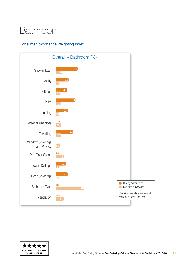# Bathroom

#### Consumer Importance Weighting Index



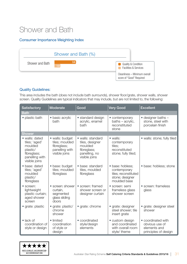## Shower and Bath

#### Consumer Importance Weighting Index



#### Quality Guidelines:

This area includes the bath (does not include bath surrounds), shower floor/grate, shower walls, shower screen. Quality Guidelines are typical indicators that may include, but are not limited to, the following:

| <b>Satisfactory</b>                                                                                      | Moderate                                                                            | Good                                                                                             | <b>Very Good</b>                                                                            | <b>Excellent</b>                                                             |
|----------------------------------------------------------------------------------------------------------|-------------------------------------------------------------------------------------|--------------------------------------------------------------------------------------------------|---------------------------------------------------------------------------------------------|------------------------------------------------------------------------------|
| <b>Bath</b>                                                                                              |                                                                                     |                                                                                                  |                                                                                             |                                                                              |
| • plastic bath                                                                                           | · basic acrylic<br>bath                                                             | • standard design<br>acrylic, enamel<br>bath                                                     | • contemporary<br>baths - acrylic,<br>reconstituted<br>stone                                | $\bullet$ designer baths $-$<br>stone, steel with<br>porcelain finish        |
| <b>Shower</b>                                                                                            |                                                                                     |                                                                                                  |                                                                                             |                                                                              |
| • walls: dated<br>tiles; 'aged'<br>moulded<br>plastic/<br>fibreglass;<br>panelling with<br>visible joins | • walls: budget<br>tiles; moulded<br>fibreglass;<br>panelling with<br>visible joins | • walls: standard<br>tiles, designer<br>moulded<br>fibreglass;<br>panelling, no<br>visible joins | $\bullet$ walls:<br>contemporary<br>tiles;<br>reconstituted<br>stone; fully tiled;          | • walls: stone; fully tiled                                                  |
| • base: dated<br>tiles; 'aged'<br>moulded<br>plastic/<br>fibreglass                                      | · base: budget<br>tiles; moulded<br>fibreglass                                      | · base: standard<br>tiles, moulded<br>fibreglass                                                 | · base: hobless;<br>contemporary<br>tiles; reconstituted<br>stone; designer<br>moulded base | · base: hobless; stone                                                       |
| • screen:<br>lightweight<br>plastic curtain;<br>aged shower<br>screen                                    | • screen: shower<br>curtain,<br>segmented<br>glass sliding<br>doors                 | • screen: framed<br>shower screen or<br>designer curtain                                         | • screen: semi<br>frameless glass<br>shower screen                                          | • screen: frameless<br>glass                                                 |
| • grate: plastic                                                                                         | • grate: plastic/<br>chrome<br>shower                                               | • grate: chrome                                                                                  | · grate: designer<br>steel shower; tile<br>insert grate                                     | · grate: designer steel<br>shower                                            |
| $\bullet$ lack of<br>coordination of<br>style or design                                                  | • limited<br>coordination<br>of style or<br>design                                  | • coordinated<br>style/design<br>elements                                                        | • custom design<br>and coordinated<br>with overall room<br>style/ theme                     | • coordinated with<br>obvious use of<br>elements and<br>principles of design |

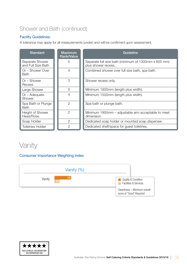### Shower and Bath (continued)

#### Facility Guidelines:

A tolerance may apply for all measurements (under) and will be confirmed upon assessment.

| <b>Standard</b>                       | <b>Maximum</b><br><b>Rank/Value</b> | <b>Guideline</b>                                                            |  |
|---------------------------------------|-------------------------------------|-----------------------------------------------------------------------------|--|
| Separate Shower<br>and Full Size Bath | 5                                   | Separate full size bath (minimum of 1300mm x 600 mm)<br>plus shower recess. |  |
| Or – Shower Over<br><b>Bath</b>       | 4                                   | Combined shower over full size bath, spa bath.                              |  |
| $Or - Shower$<br>Recess               | 3                                   | Shower recess only.                                                         |  |
| Large Shower                          | 5                                   | Minimum 1800mm (length plus width).                                         |  |
| $Or - Adequate$<br>Shower             | 4                                   | Minimum 1500mm (length plus width).                                         |  |
| Spa Bath or Plunge<br><b>Bath</b>     | $\overline{2}$                      | Spa bath or plunge bath.                                                    |  |
| Height of Shower<br>Head/Rose         | $\mathcal{P}$                       | Minimum 1900mm – adjustable arm acceptable to meet<br>dimension.            |  |
| Soap Holder                           | $\overline{2}$                      | Dedicated soap holder or mounted soap dispenser.                            |  |
| <b>Toiletries Holder</b>              | $\overline{c}$                      | Dedicated shelf/space for guest toiletries.                                 |  |

### Vanity

#### Consumer Importance Weighting Index



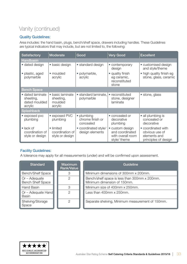### Vanity (continued)

#### Quality Guidelines:

Area includes: the hand basin, plugs, bench/shelf space, drawers including handles. These Guidelines are typical indicators that may include, but are not limited to, the following:

| <b>Satisfactory</b>                                       | Moderate                                            | Good                                        | <b>Very Good</b>                                                        | <b>Excellent</b>                                                             |  |  |  |  |
|-----------------------------------------------------------|-----------------------------------------------------|---------------------------------------------|-------------------------------------------------------------------------|------------------------------------------------------------------------------|--|--|--|--|
| <b>Handbasin</b>                                          |                                                     |                                             |                                                                         |                                                                              |  |  |  |  |
| • dated design                                            | • basic design                                      | • standard design                           | • contemporary<br>design                                                | • customised design<br>and style/theme                                       |  |  |  |  |
| • plastic, aged<br>polymarble                             | $\bullet$ moulded<br>acrylic                        | • polymarble,<br>acrylic                    | • quality finish<br>eg ceramic,<br>reconstituted<br>stone               | • high quality finish eg<br>stone, glass, ceramic                            |  |  |  |  |
| <b>Bench Space</b>                                        |                                                     |                                             |                                                                         |                                                                              |  |  |  |  |
| · dated laminate<br>sheeting,<br>dated moulded<br>acrylic | • basic laminate<br>sheeting,<br>moulded<br>acrylic | · standard laminate,<br>polymarble          | • reconstituted<br>stone, designer<br>laminate                          | • stone, glass                                                               |  |  |  |  |
| <b>Splashback</b>                                         |                                                     |                                             |                                                                         |                                                                              |  |  |  |  |
| • exposed pvc<br>plumbing                                 | • exposed PVC<br>plumbing                           | • plumbing<br>chrome finish or<br>concealed | • concealed or<br>decorative<br>plumbing                                | • all plumbing is<br>concealed or<br>decorative                              |  |  |  |  |
| $\bullet$ lack of<br>coordination of<br>style or design   | • limited<br>coordination of<br>style or design     | • coordinated style/<br>design elements     | • custom design<br>and coordinated<br>with overall room<br>style/ theme | • coordinated with<br>obvious use of<br>elements and<br>principles of design |  |  |  |  |

#### Facility Guidelines:

A tolerance may apply for all measurements (under) and will be confirmed upon assessment.

| <b>Standard</b>                             | <b>Maximum</b><br>Rank/Value | Guideline                                                                    |
|---------------------------------------------|------------------------------|------------------------------------------------------------------------------|
| <b>Bench/Shelf Space</b>                    | 3                            | Minimum dimensions of 300mm x 200mm.                                         |
| $Or - Adequate$<br><b>Bench Shelf Space</b> | 2                            | Bench/shelf space is less than 300mm x 200mm.<br>Minimum dimension of 150mm. |
| Hand Basin                                  | З                            | Minimum size of 400mm x 250mm.                                               |
| Or - Adequate Hand<br><b>Basin</b>          | 2                            | Less than 400mm x 250mm.                                                     |
| Shelving/Storage<br>Space                   | 2                            | Separate shelving, Minimum measurement of 150mm.                             |

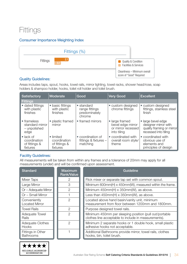## **Fittings**

#### Consumer Importance Weighting Index



#### Quality Guidelines:

Areas includes taps, spout, hooks, towel rails, mirror lighting, towel racks, shower head/rose, soap holders & shampoo holder, hooks, toilet roll holder and toilet brush.

| Satisfactory                                                   | Moderate                                               | Good                                                    | <b>Very Good</b>                                                         | <b>Excellent</b>                                                                                |
|----------------------------------------------------------------|--------------------------------------------------------|---------------------------------------------------------|--------------------------------------------------------------------------|-------------------------------------------------------------------------------------------------|
| <b>Fittings</b>                                                |                                                        |                                                         |                                                                          |                                                                                                 |
| • dated fittings<br>with plastic<br>finishes                   | • basic fittings<br>with plastic<br>finishes           | • standard<br>range fittings<br>predominately<br>chrome | • custom designed<br>chrome fittings                                     | • custom designed<br>fittings, stainless steel<br>finish                                        |
| • frameless<br>standard mirror<br>- unpolished<br>edge         | • plastic framed<br>mirror                             | • framed mirrors                                        | • large framed<br>bevel edge mirror<br>or mirror recessed<br>into tiling | • large bevel edge<br>designer mirror with<br>quality framing or mirror<br>recessed into tiling |
| $\bullet$ lack of<br>coordination<br>of fittings &<br>fixtures | • limited<br>coordination<br>of fittings &<br>fixtures | • coordination of<br>fittings & fixtures -<br>matching  | • coordinated with<br>overall room style/<br>theme                       | • coordinated with<br>obvious use of<br>elements and<br>principles of design                    |

#### Facility Guidelines:

All measurements will be taken from within any frames and a tolerance of 20mm may apply for all measurements (under) and will be confirmed upon assessment.

| <b>Standard</b>                       | <b>Maximum</b><br>Rank/Value | Guideline                                                                                                      |
|---------------------------------------|------------------------------|----------------------------------------------------------------------------------------------------------------|
| Mixer Taps                            | $\mathcal{P}$                | Flick mixer or separate tap set with common spout.                                                             |
| Large Mirror                          | 3                            | Minimum 600mm(H) x 450mm(W), measured within the frame.                                                        |
| Or - Adequate Mirror                  | 2                            | Minimum 450mm(H) x 350mm(W), as above.                                                                         |
| Or - Small Mirror                     |                              | Less than $450mm(H) \times 350mm(W)$ , as above.                                                               |
| Conveniently<br><b>Located Mirror</b> | $\mathcal{P}$                | Located above hand basin/vanity unit, minimum<br>measurement from floor between 1200mm and 1800mm.             |
| <b>Towel Rails</b>                    | $\mathcal{P}$                | Purpose designed towel rails.                                                                                  |
| Adequate Towel<br>Rails               | 2                            | Minimum 450mm per sleeping position (pull out/portable<br>clothes line acceptable to include in measurements). |
| Adequate Clothes<br>Hooks             | $\mathcal{P}$                | Minimum 2 separate hooks or 1 double hook, small plastic<br>adhesive hooks not acceptable.                     |
| Fittings in Other<br><b>Bathrooms</b> |                              | Additional Bathrooms provide mirror, towel rails, clothes<br>hooks, bin, toilet brush.                         |

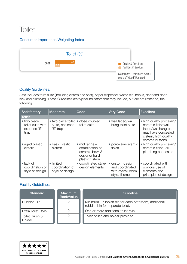## **Toilet**

#### Consumer Importance Weighting Index



#### Quality Guidelines:

Area includes toilet suite (including cistern and seat), paper dispenser, waste bin, hooks, door and door lock and plumbing. These Guidelines are typical indicators that may include, but are not limited to, the following:

| <b>Satisfactory</b>                                     | Moderate                                          | Good                                                                                            | <b>Very Good</b>                                                        | <b>Excellent</b>                                                                                                                         |
|---------------------------------------------------------|---------------------------------------------------|-------------------------------------------------------------------------------------------------|-------------------------------------------------------------------------|------------------------------------------------------------------------------------------------------------------------------------------|
| <b>Toilet</b>                                           |                                                   |                                                                                                 |                                                                         |                                                                                                                                          |
| • two piece<br>toilet suite with<br>exposed 'S'<br>trap | • two piece toilet<br>suite, enclosed<br>'S' trap | • close coupled<br>toilet suite                                                                 | • wall faced/wall<br>hung toilet suite                                  | • high quality porcelain/<br>ceramic finishwall<br>faced/wall hung pan,<br>may have concealed<br>cistern; high quality<br>chrome buttons |
| • aged plastic<br>cistern                               | • basic plastic<br>cistern                        | $\bullet$ mid range $-$<br>combination of<br>ceramic bowl &<br>designer hard<br>plastic cistern | · porcelain/ceramic<br>finish                                           | high quality porcelain/<br>ceramic finish, all<br>plumbing concealed                                                                     |
| $\bullet$ lack of<br>coordination of<br>style or design | • limited<br>coordination of<br>style or design   | • coordinated style/<br>design elements                                                         | • custom design<br>and coordinated<br>with overall room<br>style/ theme | • coordinated with<br>obvious use of<br>elements and<br>principles of design                                                             |

| <b>Standard</b>           | <b>Maximum</b><br>Rank/Value | Guideline                                                                               |
|---------------------------|------------------------------|-----------------------------------------------------------------------------------------|
| <b>Rubbish Bin</b>        | 2                            | Minimum 1 rubbish bin for each bathroom, additional<br>rubbish bin for separate toilet. |
| <b>Extra Toilet Rolls</b> |                              | One or more additional toilet rolls.                                                    |
| Toilet Brush &<br>Holder  | 2                            | Toilet brush and holder provided.                                                       |

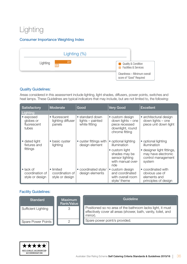## Lighting

#### Consumer Importance Weighting Index



#### Quality Guidelines:

Areas considered in this assessment include lighting, light shades, diffusers, power points, switches and heat lamps. These Guidelines are typical indicators that may include, but are not limited to, the following:

| <b>Satisfactory</b>                                     | Moderate                                        | Good                                                 | <b>Very Good</b>                                                                             | <b>Excellent</b>                                                                  |
|---------------------------------------------------------|-------------------------------------------------|------------------------------------------------------|----------------------------------------------------------------------------------------------|-----------------------------------------------------------------------------------|
| Lighting                                                |                                                 |                                                      |                                                                                              |                                                                                   |
| • exposed<br>globes or<br>fluorescent<br>tubes          | • fluorescent<br>lighting diffuser<br>panels    | • standard down<br>lights - painted<br>white fitting | • custom design<br>down lights - one<br>piece recessed<br>downlight, round<br>chrome fitting | • architectural design<br>down lights - one<br>piece unit down light              |
| • dated light<br>fixtures and                           | • basic oyster<br>lighting                      | • oyster fittings with<br>design element             | • optional lighting<br>illumination                                                          | • optional lighting<br>illumination                                               |
| fittings                                                |                                                 |                                                      | • custom light<br>shades may be<br>sensor lighting<br>with manual over-<br>ride              | • designer light fittings,<br>may have electronic<br>control management<br>system |
| $\bullet$ lack of<br>coordination of<br>style or design | • limited<br>coordination of<br>style or design | • coordinated style/<br>design elements              | • custom design<br>and coordinated<br>with overall room<br>style/ theme                      | • coordinated with<br>obvious use of<br>elements and<br>principles of design      |

| <b>Standard</b>           | <b>Maximum</b><br><b>Rank/Value</b> | Guideline                                                                                                                                |
|---------------------------|-------------------------------------|------------------------------------------------------------------------------------------------------------------------------------------|
| Sufficient Lighting       | 3                                   | Positioned so no area of the bathroom lacks light, it must<br>effectively cover all areas (shower, bath, vanity, toilet, and<br>mirror). |
| <b>Spare Power Points</b> |                                     | Spare power point/s provided.                                                                                                            |

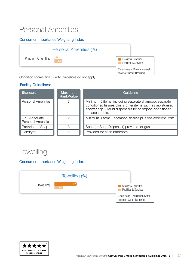## Personal Amenities

#### Consumer Importance Weighting Index



Condition scores and Quality Guidelines do not apply.

#### Facility Guidelines:

| <b>Standard</b>                              | <b>Maximum</b><br>Rank/Value | Guideline                                                                                                                                                                                          |
|----------------------------------------------|------------------------------|----------------------------------------------------------------------------------------------------------------------------------------------------------------------------------------------------|
| <b>Personal Amenities</b>                    | 3                            | Minimum 5 items, including separate shampoo, separate<br>conditioner, tissues plus 2 other items such as moisturiser,<br>shower cap - liquid dispensers for shampoo-conditioner<br>are acceptable. |
| $Or - Adequate$<br><b>Personal Amenities</b> | 2                            | Minimum 3 items - shampoo, tissues plus one additional item.                                                                                                                                       |
| Provision of Soap                            | З                            | Soap (or Soap Dispenser) provided for guests.                                                                                                                                                      |
| Hairdryer                                    |                              | Provided for each bathroom.                                                                                                                                                                        |

### **Towelling**

#### Consumer Importance Weighting Index



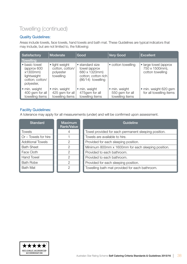### Towelling (continued)

#### Quality Guidelines:

Areas include towels, face towels, hand towels and bath mat. These Guidelines are typical indicators that may include, but are not limited to, the following:

| <b>Satisfactory</b>                                                                       | Moderate                                                    | Good                                                                                            | <b>Very Good</b>                                    | <b>Excellent</b>                                             |
|-------------------------------------------------------------------------------------------|-------------------------------------------------------------|-------------------------------------------------------------------------------------------------|-----------------------------------------------------|--------------------------------------------------------------|
| <b>Towelling</b>                                                                          |                                                             |                                                                                                 |                                                     |                                                              |
| • basic towel<br>(approx 600)<br>x1300mm)<br>lightweight<br>cotton; cotton/<br>polyester, | • light weight<br>cotton, cotton/<br>polyester<br>towelling | • standard size<br>towel (approx<br>680 x 1320mm)<br>cotton; cotton rich<br>$(86/14)$ towelling | • cotton towelling                                  | • large towel (approx)<br>750 x 1500mm),<br>cotton towelling |
| • min. weight<br>400 gsm for all<br>towelling items                                       | • min. weight<br>425 gsm for all<br>towelling items         | • min. weight<br>475gsm for all<br>towelling items                                              | • min. weight<br>550 gsm for all<br>towelling items | • min. weight 620 gsm<br>for all towelling items             |

#### Facility Guidelines:

A tolerance may apply for all measurements (under) and will be confirmed upon assessment.

| <b>Standard</b>          | <b>Maximum</b><br>Rank/Value | <b>Guideline</b>                                     |
|--------------------------|------------------------------|------------------------------------------------------|
| <b>Towels</b>            | 4                            | Towel provided for each permanent sleeping position. |
| Or - Towels for hire     |                              | Towels are available to hire.                        |
| <b>Additional Towels</b> | 2                            | Provided for each sleeping position.                 |
| <b>Bath Sheet</b>        | 2                            | Minimum 800mm x 1600mm for each sleeping position.   |
| Face Cloth               | 2                            | Provided to each bathroom.                           |
| <b>Hand Towel</b>        | $\mathcal{P}$                | Provided to each bathroom.                           |
| <b>Bath Robe</b>         | $\mathcal{P}$                | Provided for each sleeping position.                 |
| <b>Bath Mat</b>          | 2                            | Towelling bath mat provided for each bathroom.       |

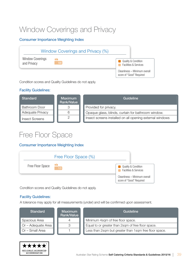## Window Coverings and Privacy

#### Consumer Importance Weighting Index



Condition scores and Quality Guidelines do not apply.

#### Facility Guidelines:

| Standard                | <b>Maximum</b><br>Rank/Value | Guideline                                                |
|-------------------------|------------------------------|----------------------------------------------------------|
| <b>Bathroom Door</b>    |                              | Provided for privacy.                                    |
| <b>Adequate Privacy</b> |                              | Opaque glass, blinds, curtain for bathroom window.       |
| <b>Insect Screens</b>   |                              | Insect screens installed on all opening external windows |

### Free Floor Space

#### Consumer Importance Weighting Index



Condition scores and Quality Guidelines do not apply.

#### Facility Guidelines:

A tolerance may apply for all measurements (under) and will be confirmed upon assessment.

| <b>Standard</b>           | <b>Maximum</b><br>Rank/Value | Guideline                                              |
|---------------------------|------------------------------|--------------------------------------------------------|
| Spacious Area             |                              | Minimum 4sqm of free floor space.                      |
| $\Box$ Or – Adequate Area |                              | Equal to or greater than 2sqm of free floor space.     |
| $\Box$ Or – Small Area    |                              | Less than 2sqm but greater than 1sqm free floor space. |

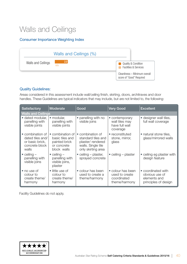## Walls and Ceilings

#### Consumer Importance Weighting Index



#### Quality Guidelines:

Areas considered in this assessment include wall/ceiling finish, skirting, doors, architraves and door handles. These Guidelines are typical indicators that may include, but are not limited to, the following:

| <b>Satisfactory</b>                                                                | Moderate                                                                                      | Good                                                                                                   | <b>Very Good</b>                                                    | <b>Excellent</b>                                                             |
|------------------------------------------------------------------------------------|-----------------------------------------------------------------------------------------------|--------------------------------------------------------------------------------------------------------|---------------------------------------------------------------------|------------------------------------------------------------------------------|
| <b>Walls and Ceilings</b>                                                          |                                                                                               |                                                                                                        |                                                                     |                                                                              |
| · dated modular,<br>panelling with<br>visible joints                               | • modular,<br>panelling with<br>visible joints                                                | • panelling with no<br>visible joins                                                                   | • contemporary<br>wall tiles may<br>have full wall<br>coverage      | · designer wall tiles,<br>full wall coverage                                 |
| • combination of<br>dated tiles and/<br>or basic brick,<br>concrete block<br>walls | combination of<br>$\bullet$<br>basic tiles and<br>painted brick<br>or concrete<br>block walls | • combination of<br>standard tiles and<br>plaster/rendered<br>walls. Single tile<br>only skirting area | • reconstituted<br>stone, mirror,<br>glass                          | • natural stone tiles,<br>glass/mirrored walls                               |
| $\bullet$ ceiling $-$<br>panelling with<br>visible joins                           | $\bullet$ ceiling $-$<br>panelling with<br>visible joins,<br>plaster                          | • ceiling $-$ plaster,<br>sprayed concrete                                                             | • ceiling $-$ plaster                                               | • ceiling eg plaster with<br>design feature                                  |
| • no use of<br>colour to<br>create theme/<br>harmony                               | • little use of<br>colour to<br>create theme/<br>harmony                                      | • colour has been<br>used to create a<br>theme/harmony                                                 | • colour has been<br>used to create<br>coordinated<br>theme/harmony | • coordinated with<br>obvious use of<br>elements and<br>principles of design |

Facility Guidelines do not apply.

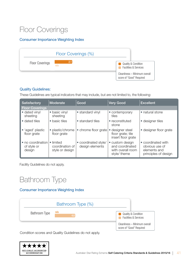## Floor Coverings

#### Consumer Importance Weighting Index



#### Quality Guidelines:

These Guidelines are typical indicators that may include, but are not limited to, the following:

| <b>Satisfactory</b>                        | Moderate                                        | Good                                    | <b>Very Good</b>                                                        | <b>Excellent</b>                                                             |
|--------------------------------------------|-------------------------------------------------|-----------------------------------------|-------------------------------------------------------------------------|------------------------------------------------------------------------------|
| <b>Floor Coverings</b>                     |                                                 |                                         |                                                                         |                                                                              |
| • dated vinyl<br>sheeting                  | • basic vinyl<br>sheeting                       | • standard vinyl                        | • contemporary<br>tiles                                                 | • natural stone                                                              |
| • dated tiles                              | • basic tiles                                   | • standard tiles                        | • reconstituted<br>stone                                                | • designer tiles                                                             |
| • 'aged' plastic<br>floor grate            | • plastic/chrome<br>floor grate                 | • chrome floor grate                    | designer steel<br>$\bullet$<br>floor grate; tile<br>insert floor grate  | • designer floor grate                                                       |
| • no coordination<br>of style or<br>design | • limited<br>coordination of<br>style or design | • coordinated style/<br>design elements | • custom design<br>and coordinated<br>with overall room<br>style/ theme | • coordinated with<br>obvious use of<br>elements and<br>principles of design |

Facility Guidelines do not apply.

### Bathroom Type

#### Consumer Importance Weighting Index



Condition scores and Quality Guidelines do not apply.

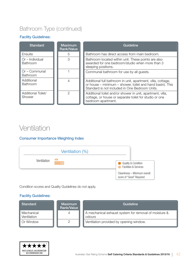### Bathroom Type (continued)

#### Facility Guidelines:

| <b>Standard</b>                    | <b>Maximum</b><br>Rank/Value | Guideline                                                                                                                                                                   |
|------------------------------------|------------------------------|-----------------------------------------------------------------------------------------------------------------------------------------------------------------------------|
| Ensuite                            | 5                            | Bathroom has direct access from main bedroom.                                                                                                                               |
| Or - Individual<br><b>Bathroom</b> | 3                            | Bathroom located within unit. These points are also<br>awarded for one bedroom/studio when more than 3<br>sleeping positions.                                               |
| Or – Communal<br><b>Bathroom</b>   |                              | Communal bathroom for use by all guests.                                                                                                                                    |
| Additional<br><b>Bathroom</b>      | 4                            | Additional full bathroom in unit, apartment, villa, cottage,<br>or house – minimum – shower, toilet and hand basin). This<br>Standard is not included in One Bedroom Units. |
| Additional Toilet/<br>Shower       | 2                            | Additional toilet and/or shower in unit, apartment, villa,<br>cottage, or house or separate toilet for studio or one<br>bedroom apartment.                                  |

### Ventilation

#### Consumer Importance Weighting Index

| Ventilation (%)    |                                                               |
|--------------------|---------------------------------------------------------------|
| n/a<br>Ventilation | Quality & Condition<br>m.<br><b>Facilities &amp; Services</b> |
|                    | Cleanliness - Minimum overall<br>score of "Good" Required     |

Condition scores and Quality Guidelines do not apply.

| <b>Standard</b>           | Maximum<br>Rank/Value | Guideline                                                       |
|---------------------------|-----------------------|-----------------------------------------------------------------|
| Mechanical<br>Ventilation |                       | A mechanical exhaust system for removal of moisture &<br>odours |
| Or Window                 |                       | Ventilation provided by opening window.                         |

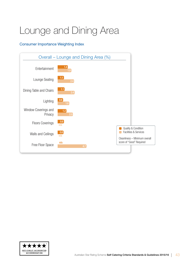# Lounge and Dining Area

#### Consumer Importance Weighting Index



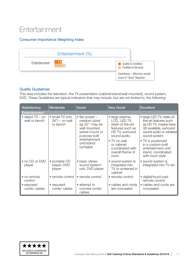### Entertainment

#### Consumer Importance Weighting Index



#### Quality Guidelines:

This area includes the television, the TV presentation (cabinet/stand/wall mounted), sound system, DVD. These Guidelines are typical indicators that may include, but are not limited to, the following:

| <b>Satisfactory</b>                      | Moderate                                         | Good                                                                                                                                                          | <b>Very Good</b>                                                                                           | <b>Excellent</b>                                                                                                                                 |
|------------------------------------------|--------------------------------------------------|---------------------------------------------------------------------------------------------------------------------------------------------------------------|------------------------------------------------------------------------------------------------------------|--------------------------------------------------------------------------------------------------------------------------------------------------|
| <b>Entertainment</b>                     |                                                  |                                                                                                                                                               |                                                                                                            |                                                                                                                                                  |
| $\bullet$ dated TV – on<br>wall or bench | • small TV (min<br>$26"$ ) – on wall<br>or bench | $\bullet$ flat screen $-$<br>medium sized<br>eg 32"- may be<br>wall mounted,<br>swivel mount or<br>purpose built<br>entertainment<br>unit/stand/<br>turntable | · large plasma,<br>LCD, LED TV,<br>state-of-the-art<br>features such as<br>HD TV, surround<br>sound audio. | • large LED TV, state-of-<br>the-art features such<br>as HD TV, maybe have<br>3D available, surround<br>sound audio or wireless<br>sound system. |
|                                          |                                                  |                                                                                                                                                               | • TV on wall<br>or cabinet,<br>coordinated with<br>overall theme of<br>room                                | • TV is positioned<br>in a custom-built<br>entertainment unit/<br>stand, coordinated<br>with room style                                          |
| • no CD or DVD<br>player                 | • portable CD<br>player, DVD<br>player           | • basic stereo<br>sound system/<br>unit, DVD player                                                                                                           | • sound system is<br>integrated into<br>TV or screened in<br>cabinet                                       | • sound system is<br>integrated into TV etc                                                                                                      |
| • no remote<br>control                   | • remote control                                 | • remote control                                                                                                                                              | • remote control                                                                                           | • digital/touch pad<br>remote control                                                                                                            |
| • exposed<br>cords/cables                | • exposed<br>cords/cables                        | • attempt to<br>conceal cords/<br>cables                                                                                                                      | • cables and cords<br>are concealed                                                                        | • cables and cords are<br>concealed.                                                                                                             |

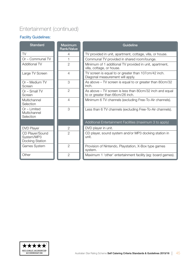### Entertainment (continued)

| <b>Standard</b>                                  | <b>Maximum</b><br><b>Rank/Value</b> | Guideline                                                                                    |
|--------------------------------------------------|-------------------------------------|----------------------------------------------------------------------------------------------|
| TV                                               | 4                                   | TV provided in unit, apartment, cottage, villa, or house.                                    |
| Or - Communal TV                                 |                                     | Communal TV provided in shared room/lounge.                                                  |
| <b>Additional TV</b>                             | $\overline{2}$                      | Minimum of 1 additional TV provided in unit, apartment,<br>villa, cottage, or house.         |
| Large TV Screen                                  | $\overline{4}$                      | TV screen is equal to or greater than 107cm/42 inch.<br>Diagonal measurement will apply.     |
| Or - Medium TV<br>Screen                         | 3                                   | As above – TV screen is equal to or greater than 80cm/32<br>inch.                            |
| $Or$ – Small TV<br>Screen                        | $\overline{2}$                      | As above – TV screen is less than 80cm/32 inch and equal<br>to or greater than 66cm/26 inch. |
| Multichannel<br>Selection                        | $\overline{4}$                      | Minimum 6 TV channels (excluding Free-To-Air channels).                                      |
| $Or$ – Limited<br>Multichannel<br>Selection      | 3                                   | Less than 6 TV channels (excluding Free-To-Air channels).                                    |
|                                                  |                                     | Additional Entertainment Facilities (maximum 3 to apply)                                     |
| <b>DVD Player</b>                                | $\mathbf{2}$                        | DVD player in unit.                                                                          |
| CD Player/Sound<br>System/MP3<br>Docking Station | $\overline{2}$                      | CD player, sound system and/or MP3 docking station in<br>unit.                               |
| Games System                                     | $\overline{2}$                      | Provision of Nintendo, Playstation, X-Box type games<br>system.                              |
| Other                                            | $\overline{2}$                      | Maximum 1 'other' entertainment facility (eg: board games).                                  |

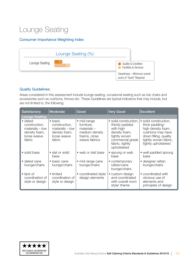## Lounge Seating

#### Consumer Importance Weighting Index



#### Quality Guidelines:

Areas considered in this assessment include lounge seating, occasional seating such as tub chairs and accessories such as cushions, throws etc. These Guidelines are typical indicators that may include, but are not limited to, the following:

| <b>Satisfactory</b>                                                                   | Moderate                                                                                        | Good                                                                                          | <b>Very Good</b>                                                                                                                             | <b>Excellent</b>                                                                                                                                            |
|---------------------------------------------------------------------------------------|-------------------------------------------------------------------------------------------------|-----------------------------------------------------------------------------------------------|----------------------------------------------------------------------------------------------------------------------------------------------|-------------------------------------------------------------------------------------------------------------------------------------------------------------|
| <b>Lounge Seating</b>                                                                 |                                                                                                 |                                                                                               |                                                                                                                                              |                                                                                                                                                             |
| • dated<br>construction,<br>materials - low<br>density foam,<br>loose weave<br>fabric | $\bullet$ basic<br>construction,<br>$materials - low$<br>density foam,<br>loose weave<br>fabric | • mid-range<br>furniture,<br>$materials -$<br>medium density<br>foams, close<br>weave fabrics | • solid construction,<br>thickly padded<br>with high<br>density foam,<br>tightly woven<br>commercial grade<br>fabric, tightly<br>upholstered | • solid construction,<br>thick padding/<br>high density foam,<br>cushions may have<br>down filling, quality<br>tightly woven fabric,<br>tightly upholstered |
| • solid base                                                                          | • slat or solid<br>base                                                                         | • web or slat base                                                                            | • sprung or web<br>base                                                                                                                      | • well-padded sprung<br>base                                                                                                                                |
| • dated cane<br>lounge/chairs                                                         | · basic cane<br>lounge/chairs                                                                   | · mid range cane<br>lounge/chairs                                                             | • contemporary<br>rattan/cane<br>lounge/chairs                                                                                               | • designer rattan<br>lounge/chairs                                                                                                                          |
| $\bullet$ lack of<br>coordination of<br>style or design                               | • limited<br>coordination of<br>style or design                                                 | • coordinated style/<br>design elements                                                       | • custom design<br>and coordinated<br>with overall room<br>style/ theme                                                                      | • coordinated with<br>obvious use of<br>elements and<br>principles of design                                                                                |

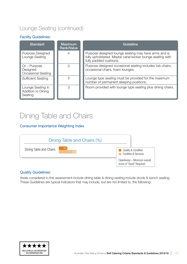### Lounge Seating (continued)

#### Facility Guidelines:

| <b>Standard</b>                                    | <b>Maximum</b><br><b>Rank/Value</b> | Guideline                                                                                                                                  |
|----------------------------------------------------|-------------------------------------|--------------------------------------------------------------------------------------------------------------------------------------------|
| Purpose Designed<br>Lounge Seating                 |                                     | Purpose designed lounge seating may have arms and is<br>fully upholstered. Maybe cane/wicker lounge seating with<br>fully padded cushions. |
| $Or - Purpose$<br>Designed<br>Occasional Seating   | З                                   | Purpose designed occasional seating includes tub chairs,<br>occasional chairs, foam lounges.                                               |
| <b>Sufficient Seating</b>                          | っ                                   | Lounge type seating must be provided for the maximum<br>number of permanent sleeping positions.                                            |
| Lounge Seating in<br>Addition to Dining<br>Seating | З                                   | Room provided with lounge type seating plus dining chairs.                                                                                 |

## Dining Table and Chairs

#### Consumer Importance Weighting Index



#### Quality Guidelines:

Areas considered in this assessment include dining table & dining seating include stools & bench seating. These Guidelines are typical indicators that may include, but are not limited to, the following:

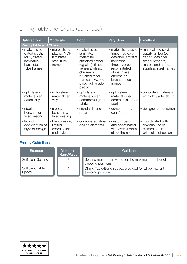### Dining Table and Chairs (continued)

| <b>Satisfactory</b>                                                                        | Moderate                                                              | Good                                                                                                                                                                                 | <b>Very Good</b>                                                                                                                                                        | <b>Excellent</b>                                                                                                                 |
|--------------------------------------------------------------------------------------------|-----------------------------------------------------------------------|--------------------------------------------------------------------------------------------------------------------------------------------------------------------------------------|-------------------------------------------------------------------------------------------------------------------------------------------------------------------------|----------------------------------------------------------------------------------------------------------------------------------|
| <b>Dining Table and Chairs</b>                                                             |                                                                       |                                                                                                                                                                                      |                                                                                                                                                                         |                                                                                                                                  |
| • materials eg<br>dated plastic,<br>MDF, dated<br>laminates,<br>basic steel<br>tube frames | • materials eg<br>plastic, MDF,<br>laminates,<br>steel tube<br>frames | • materials eg<br>laminate,<br>melamine,<br>standard timber<br>(eg pine), timber<br>veneers, glass,<br>chrome or<br>brushed steel<br>frames, plywood,<br>pine, high grade<br>plastic | • materials eg solid<br>timber (eg oak)<br>designer laminate,<br>melamine,<br>timber veneers,<br>reconstituted<br>stone, glass,<br>chrome or<br>brushed steel<br>frames | • materials eg solid<br>quality timber (eg<br>cedar), designer<br>timber veneers,<br>marble and stone,<br>stainless steel frames |
| • upholstery<br>materials eg<br>dated vinyl                                                | • upholstery<br>materials eg<br>vinyl                                 | • upholstery<br>$materials - eg$<br>commercial grade<br>fabric                                                                                                                       | • upholstery<br>$materials - eg$<br>commercial grade<br>fabric                                                                                                          | • upholstery materials<br>eg high grade fabrics                                                                                  |
| • stools,<br>benches or<br>fixed seating                                                   | · stools,<br>benches or<br>fixed seating                              | • standard cane/<br>rattan                                                                                                                                                           | • contemporary<br>cane/rattan                                                                                                                                           | • designer cane/ rattan                                                                                                          |
| $\bullet$ lack of<br>coordination of<br>style or design                                    | · basic design,<br>limited<br>coordination<br>and style               | • coordinated style/<br>design elements                                                                                                                                              | • custom design<br>and coordinated<br>with overall room<br>style/ theme                                                                                                 | • coordinated with<br>obvious use of<br>elements and<br>principles of design                                                     |

| <b>Standard</b>           | <b>Maximum</b><br>Rank/Value | Guideline                                                                  |
|---------------------------|------------------------------|----------------------------------------------------------------------------|
| <b>Sufficient Seating</b> | 3                            | Seating must be provided for the maximum number of<br>sleeping positions.  |
| Sufficient Table<br>Space |                              | Dining Table/Bench space provided for all permanent<br>sleeping positions. |

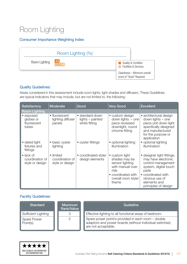## Room Lighting

#### Consumer Importance Weighting Index



#### Quality Guidelines:

Areas considered in this assessment include room lights, light shades and diffusers. These Guidelines are typical indicators that may include, but are not limited to, the following:

| <b>Satisfactory</b>                                     | Moderate                                        | Good                                                 | <b>Very Good</b>                                                                                                                      | <b>Excellent</b>                                                                                                                                                                         |
|---------------------------------------------------------|-------------------------------------------------|------------------------------------------------------|---------------------------------------------------------------------------------------------------------------------------------------|------------------------------------------------------------------------------------------------------------------------------------------------------------------------------------------|
| <b>Room Lighting</b>                                    |                                                 |                                                      |                                                                                                                                       |                                                                                                                                                                                          |
| • exposed<br>globes or<br>fluorescent<br>tubes          | • fluorescent<br>lighting diffuser<br>panels    | • standard down<br>lights - painted<br>white fitting | • custom design<br>down lights $-$ one<br>piece recessed<br>downlight, round<br>chrome fitting                                        | • architectural design<br>down lights - one<br>piece unit down light<br>specifically designed<br>and manufactured<br>for the purpose or<br>application                                   |
| • dated light<br>fixtures and<br>fittings               | • basic oyster<br>lighting                      | • oyster fittings                                    | • optional lighting<br>illumination                                                                                                   | • optional lighting<br>illumination                                                                                                                                                      |
| $\bullet$ lack of<br>coordination of<br>style or design | • limited<br>coordination of<br>style or design | • coordinated style/<br>design elements              | • custom light<br>shades may be<br>sensor lighting<br>with manual over-<br>ride<br>• coordinated with<br>overall room style/<br>theme | • designer light fittings,<br>may have electronic<br>control management<br>system, digital touch<br>pads<br>• coordinated with<br>obvious use of<br>elements and<br>principles of design |

| <b>Standard</b>         | Maximum<br>Rank/Value | Guideline                                                                                                                            |
|-------------------------|-----------------------|--------------------------------------------------------------------------------------------------------------------------------------|
| Sufficient Lighting     |                       | Effective lighting to all functional areas of bedroom.                                                                               |
| Spare Power<br>Point(s) |                       | Spare power point/s provided in each room - double<br>adaptors and power boards (without individual switches)<br>are not acceptable. |

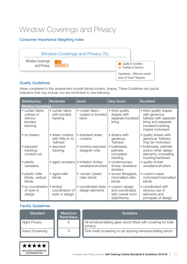## Window Coverings and Privacy

#### Consumer Importance Weighting Index



#### Quality Guidelines:

Areas considered in this assessment include blinds/curtains, drapes. These Guidelines are typical indicators that may include, but are not limited to, the following:

| <b>Satisfactory</b>                                            | Moderate                                            | Good                                                     | <b>Very Good</b>                                                       | <b>Excellent</b>                                                                                                                  |
|----------------------------------------------------------------|-----------------------------------------------------|----------------------------------------------------------|------------------------------------------------------------------------|-----------------------------------------------------------------------------------------------------------------------------------|
| <b>Window Coverings</b>                                        |                                                     |                                                          |                                                                        |                                                                                                                                   |
| • curtain fabric<br>unlined or<br>without<br>bonded<br>backing | • curtain fabric<br>with bonded<br>backing          | $\bullet$ curtain fabric $-$<br>coated or bonded<br>back | • thick quality<br>drapes with<br>separate insulated<br>lining         | • thick quality drapes<br>with generous<br>fullness with separate<br>lining and separate<br>insulated backing,<br>maybe motorised |
| • no sheers                                                    | • sheer curtains<br>with little or no<br>'fullness' | • standard sheer<br>curtains                             | • sheers with<br>generous<br>'fullness'                                | • quality sheers with<br>generous 'fullness',<br>may be motorised                                                                 |
| • exposed<br>tracking/<br>conduit rod                          | • exposed<br>tracking                               | • tracking exposed,<br>designer rods                     | · bulkheads,<br>pelmets<br>concealed<br>tracking                       | · bulkheads, pelmets<br>and/or other design<br>elements concealing<br>tracking/hardware                                           |
| • plastic<br>venetians                                         | • aged venetians                                    | • imitation timber<br>venetians/shutters                 | • contemporary<br>timber venetians/<br>shutters                        | • quality timber<br>venetians/shutters                                                                                            |
| • plastic roller<br>blinds, vertical<br>blinds                 | • aged roller<br>blinds                             | • 'woven' plastic<br>roller blinds                       | • woven fibreglass,<br>channelled roller<br>blinds                     | • custom made<br>motorised/channelled<br>blinds                                                                                   |
| • no coordination<br>of style or<br>design                     | • limited<br>coordination of<br>style or design     | • coordinated style/<br>design elements                  | • custom design<br>and coordinated<br>with overall room<br>style/theme | • coordinated with<br>obvious use of<br>elements and<br>principles of design                                                      |

| <b>Standard</b>         | <b>Maximum</b><br>Rank/Value | Guideline                                                                  |
|-------------------------|------------------------------|----------------------------------------------------------------------------|
| Night Privacy           | 6                            | All windows/sliding glass doors fitted with covering for total<br>privacy. |
| <b>Insect Screening</b> | 3                            | Fine mesh screening on all opening windows/sliding doors.                  |

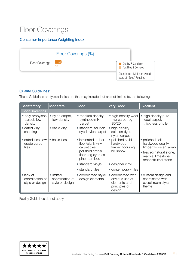## Floor Coverings

#### Consumer Importance Weighting Index



#### Quality Guidelines:

These Guidelines are typical indicators that may include, but are not limited to, the following:

| <b>Satisfactory</b>                                     | Moderate                                        | Good                                                                                                              | <b>Very Good</b>                                                                | <b>Excellent</b>                                                                                                                          |
|---------------------------------------------------------|-------------------------------------------------|-------------------------------------------------------------------------------------------------------------------|---------------------------------------------------------------------------------|-------------------------------------------------------------------------------------------------------------------------------------------|
| <b>Floor Coverings</b>                                  |                                                 |                                                                                                                   |                                                                                 |                                                                                                                                           |
| • poly propylene<br>carpet, low<br>density              | • nylon carpet,<br>low density                  | • medium density<br>synthetic/mix<br>carpet                                                                       | • high density wool<br>mix carpet eg<br>80/20                                   | • high density pure<br>wool carpet,<br>thickness of pile                                                                                  |
| • dated vinyl<br>sheeting                               | • basic vinyl                                   | • standard solution<br>dyed nylon carpet                                                                          | • high density<br>solution dyed<br>nylon carpet                                 |                                                                                                                                           |
| • dated tiles, low<br>grade carpet<br>tiles             | • basic tiles                                   | • laminated timber<br>floor/plank vinyl,<br>carpet tiles,<br>polished timber<br>floors eg cypress<br>pine, bamboo | • polished solid<br>hardwood<br>timber floors eg<br>brushbox                    | • polished solid<br>hardwood quality<br>timber floors eg jarrah<br>• tiles eg natural stone,<br>marble, limestone,<br>reconstituted stone |
|                                                         |                                                 | • standard vinyls                                                                                                 | • designer vinyl                                                                |                                                                                                                                           |
|                                                         |                                                 | • standard tiles                                                                                                  | • contemporary tiles                                                            |                                                                                                                                           |
| $\bullet$ lack of<br>coordination of<br>style or design | • limited<br>coordination of<br>style or design | • coordinated style/<br>design elements                                                                           | • coordinated with<br>obvious use of<br>elements and<br>principles of<br>design | • custom design and<br>coordinated with<br>overall room style/<br>theme                                                                   |

Facility Guidelines do not apply.

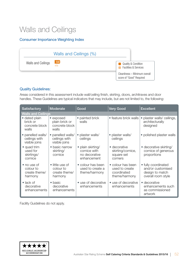## Walls and Ceilings

#### Consumer Importance Weighting Index



#### Quality Guidelines:

Areas considered in this assessment include wall/ceiling finish, skirting, doors, architraves and door handles. These Guidelines are typical indicators that may include, but are not limited to, the following:

| <b>Satisfactory</b>                                  | Moderate                                                 | Good                                                              | <b>Very Good</b>                                                    | <b>Excellent</b>                                                                  |
|------------------------------------------------------|----------------------------------------------------------|-------------------------------------------------------------------|---------------------------------------------------------------------|-----------------------------------------------------------------------------------|
| <b>Walls and Ceilings</b>                            |                                                          |                                                                   |                                                                     |                                                                                   |
| • dated plain<br>brick or<br>concrete block<br>walls | • exposed<br>plain brick or<br>concrete block<br>walls   | • painted brick<br>walls                                          | • feature brick walls                                               | • plaster walls/ ceilings,<br>architecturally<br>designed                         |
| • panelled walls/<br>ceilings with<br>visible joins  | · panelled walls/<br>ceilings with<br>visible joins      | • plaster walls/<br>ceilings                                      | • plaster walls/<br>ceilings                                        | • polished plaster walls                                                          |
| • quad trim<br>used for<br>skirtings/<br>cornice     | · basic narrow<br>skirting/<br>cornice                   | • plain skirting/<br>cornice with<br>no decorative<br>enhancement | • decorative<br>skirting/cornice,<br>square set<br>corners          | • decorative skirting/<br>cornice of generous<br>proportions                      |
| • no use of<br>colour to<br>create theme/<br>harmony | • little use of<br>colour to<br>create theme/<br>harmony | • colour has been<br>used to create a<br>theme/harmony            | • colour has been<br>used to create<br>coordinated<br>theme/harmony | • fully coordinated<br>and/or customised<br>design to match<br>overall room style |
| $\bullet$ lack of<br>decorative<br>enhancements      | $\bullet$ basic<br>decorative<br>enhancements            | • use of decorative<br>enhancements                               | • use of decorative<br>enhancements                                 | • decorative<br>enhancements such<br>as commissioned<br>artwork                   |

Facility Guidelines do not apply.

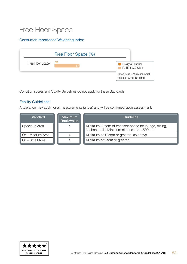## Free Floor Space

#### Consumer Importance Weighting Index

|                  | Free Floor Space (%) |                                                                |
|------------------|----------------------|----------------------------------------------------------------|
| Free Floor Space | n/a<br>4.7           | Quality & Condition<br>r i<br><b>Facilities &amp; Services</b> |
|                  |                      | Cleanliness - Minimum overall<br>score of "Good" Required      |

Condition scores and Quality Guidelines do not apply for these Standards.

#### Facility Guidelines:

A tolerance may apply for all measurements (under) and will be confirmed upon assessment.

| <b>Standard</b>  | <b>Maximum</b><br>Rank/Value | Guideline                                                                                            |
|------------------|------------------------------|------------------------------------------------------------------------------------------------------|
| Spacious Area    | 5                            | Minimum 20sqm of free floor space for lounge, dining,<br>kitchen, halls. Minimum dimensions - 500mm. |
| Or - Medium Area |                              | Minimum of 12sqm or greater- as above.                                                               |
| Or - Small Area  |                              | Minimum of 9sqm or greater.                                                                          |

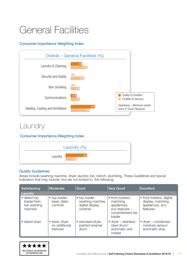# General Facilities

#### Consumer Importance Weighting Index



### **Laundry**

#### Consumer Importance Weighting Index



#### Quality Guidelines:

Areas include washing machine, dryer, laundry tub, bench, plumbing. These Guidelines are typical indicators that may include, but are not limited to, the following:

| <b>Satisfactory</b>                                  | Moderate                                  | Good                                                            | <b>Very Good</b>                                                                            | <b>Excellent</b>                                                             |
|------------------------------------------------------|-------------------------------------------|-----------------------------------------------------------------|---------------------------------------------------------------------------------------------|------------------------------------------------------------------------------|
| Laundry                                              |                                           |                                                                 |                                                                                             |                                                                              |
| • dated top<br>loader/twin<br>tub washing<br>machine | • top loader,<br>basic dials/<br>controls | • top loader<br>washing machine,<br>digital display<br>controls | • front loaders,<br>matching<br>appliances,<br>eco features -<br>computerised top<br>loader | • front loaders, digital<br>display, matching<br>appliances, eco<br>features |
| • dated dryer                                        | basic dryer,<br>no additional<br>features | · standard dryer,<br>painted enamel<br>drum                     | $\bullet$ dryer – stainless<br>steel drum/<br>automatic anti<br>crease                      | $\bullet$ dryer – condenser,<br>moisture sensor/<br>automatic stop           |

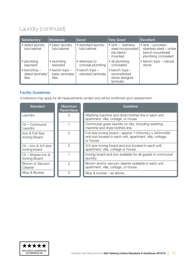### Laundry (continued)

| Satisfactory                                     | <b>Moderate</b>                                       | Good                                        | <b>Very Good</b>                                                          | <b>Excellent</b>                                                                                 |
|--------------------------------------------------|-------------------------------------------------------|---------------------------------------------|---------------------------------------------------------------------------|--------------------------------------------------------------------------------------------------|
| · dated laundry<br>tub/cabinet                   | • basic laundry<br>tub/cabinet                        | · standard laundry<br>tub/cabinet           | $\bullet$ sink - stainless<br>steel incorporated<br>into bench<br>mounted | $\bullet$ sink – porcelain,<br>stainless steel - under<br>bench mountedall<br>plumbing concealed |
| • plumbing<br>exposed                            | plumbing<br>exposed                                   | • attempts to<br>conceal plumbing           | • all plumbing<br>concealed                                               | • bench tops – natural<br>stone                                                                  |
| $\bullet$ benchtop -<br>dated laminate/<br>tiles | bench tops -<br>$\bullet$<br>basic laminate/<br>tiles | $\bullet$ bench tops -<br>standard laminate | $\bullet$ bench tops $-$<br>reconstituted<br>stone designer<br>laminate   |                                                                                                  |

#### Facility Guidelines:

A tolerance may apply for all measurements (under) and will be confirmed upon assessment.

| <b>Standard</b>                         | <b>Maximum</b><br>Rank/Value | Guideline                                                                                                                       |
|-----------------------------------------|------------------------------|---------------------------------------------------------------------------------------------------------------------------------|
| Laundry                                 | 5                            | Washing machine and dryer/clothes line in each unit,<br>apartment, villa, cottage, or house.                                    |
| Or – Communal<br>Laundry                |                              | Communal guest laundry on site, including washing<br>machine and dryer/clothes line.                                            |
| Iron & Full Size<br>Ironing Board       | 3                            | Full size ironing board – approx 1150mm(L) x 340mm(W)<br>and iron located in each unit, apartment, villa, cottage,<br>or house. |
| Or $-$ Iron & 3/4 size<br>ironing board | $\mathcal{P}$                | 3/4 size ironing board and iron located in each unit,<br>apartment, villa, cottage or house.                                    |
| Or – Shared Iron &<br>Ironing Board     |                              | Ironing board and iron available for all guests in communal<br>laundry.                                                         |
| Broom or Vacuum<br>Cleaner              | $\overline{2}$               | Broom and/or vacuum cleaner available in each unit,<br>apartment, villa, cottage, or house.                                     |
| Mop & Bucket                            | 2                            | Mop $& bucket - as above.$                                                                                                      |

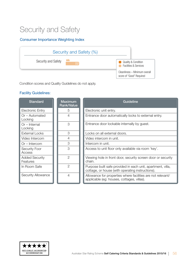## Security and Safety

#### Consumer Importance Weighting Index



Condition scores and Quality Guidelines do not apply.

| <b>Standard</b>                   | <b>Maximum</b><br><b>Rank/Value</b> | <b>Guideline</b>                                                                                                |
|-----------------------------------|-------------------------------------|-----------------------------------------------------------------------------------------------------------------|
| Electronic Entry                  | 5                                   | Electronic unit entry.                                                                                          |
| Or - Automated<br>Locking         | 4                                   | Entrance door automatically locks to external entry.                                                            |
| $Or - Internal$<br>Locking        | 3                                   | Entrance door lockable internally by guest.                                                                     |
| <b>External Locks</b>             | 3                                   | Locks on all external doors.                                                                                    |
| Video Intercom                    | 4                                   | Video intercom in unit.                                                                                         |
| $Or - Intercom$                   | 3                                   | Intercom in unit.                                                                                               |
| <b>Security Foor</b><br>Access    | 3                                   | Access to unit floor only available via room 'key'.                                                             |
| <b>Added Security</b><br>Features | $\overline{2}$                      | Viewing hole in front door, security screen door or security<br>chain.                                          |
| In Room Safe                      | $\mathcal{P}$                       | Purpose built safe provided in each unit, apartment, villa,<br>cottage, or house (with operating instructions). |
| Security Allowance                | 4                                   | Allowance for properties where facilities are not relevant/<br>applicable (eg: houses, cottages, villas).       |
|                                   |                                     |                                                                                                                 |

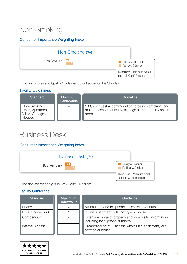## Non-Smoking

#### Consumer Importance Weighting Index



Condition scores and Quality Guidelines do not apply for this Standard.

#### Facility Guidelines:

| <b>Standard</b>                                                  | <b>Maximum</b><br>Rank/Value | Guideline                                                                                                              |
|------------------------------------------------------------------|------------------------------|------------------------------------------------------------------------------------------------------------------------|
| Non-Smoking<br>Units, Apartments,<br>Villas, Cottages,<br>Houses | 4                            | 100% of guest accommodation to be non smoking, and<br>must be accompanied by signage at the property and in-<br>rooms. |

### Business Desk

#### Consumer Importance Weighting Index

| Business Desk (%)                     |                                                           |
|---------------------------------------|-----------------------------------------------------------|
| $\boxed{0.9}$<br><b>Business Desk</b> | Quality & Condition<br><b>Facilities &amp; Services</b>   |
|                                       | Cleanliness - Minimum overall<br>score of "Good" Required |

Condition scores apply in lieu of Quality Guidelines.

| <b>Standard</b>  | <b>Maximum</b><br>Rank/Value | Guideline                                                                                    |  |
|------------------|------------------------------|----------------------------------------------------------------------------------------------|--|
| Phone            |                              | Minimum of one telephone accessible 24 hours.                                                |  |
| Local Phone Book |                              | In unit, apartment, villa, cottage or house.                                                 |  |
| Compendium       |                              | Extensive range of property and local visitor information,<br>including local phone numbers. |  |
| Internet Access  |                              | Broadband or Wi Fi access within unit, apartment, villa,<br>cottage or house.                |  |

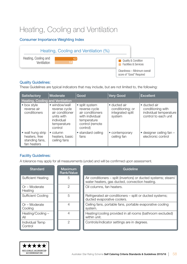## Heating, Cooling and Ventilation

#### Consumer Importance Weighting Index



#### Quality Guidelines:

These Guidelines are typical indicators that may include, but are not limited to, the following:

| Satisfactory                                                        | Moderate                                                                                                | Good                                                                                                                 | <b>Very Good</b>                                               | <b>Excellent</b>                                                                    |
|---------------------------------------------------------------------|---------------------------------------------------------------------------------------------------------|----------------------------------------------------------------------------------------------------------------------|----------------------------------------------------------------|-------------------------------------------------------------------------------------|
| Heating, Cooling and Ventilation                                    |                                                                                                         |                                                                                                                      |                                                                |                                                                                     |
| • box style<br>reverse air<br>conditioners                          | • window/wall<br>reverse cycle<br>air conditioner<br>units with<br>individual<br>temperature<br>control | • split system<br>reverse cycle<br>air conditioners<br>with individual<br>temperature<br>control (remote<br>control) | · ducted air<br>conditioning; or<br>integrated split<br>system | • ducted air<br>conditioning with<br>individual temperature<br>control to each unit |
| • wall hung strip<br>heaters, free<br>standing fans,<br>fan heaters | $\bullet$ column<br>heaters, basic<br>ceiling fans                                                      | • standard ceiling<br>fans                                                                                           | • contemporary<br>ceiling fan                                  | $\bullet$ designer ceiling fan $-$<br>electronic control                            |

#### Facility Guidelines:

A tolerance may apply for all measurements (under) and will be confirmed upon assessment.

| <b>Standard</b>            | <b>Maximum</b><br>Rank/Value | Guideline                                                                                                        |
|----------------------------|------------------------------|------------------------------------------------------------------------------------------------------------------|
| <b>Sufficient Heating</b>  | 5                            | Air conditioners – split (invertors) or ducted systems; steam/<br>water heaters, gas ducted, convection heating. |
| Or – Moderate<br>Heating   | 2                            | Oil columns, fan heaters.                                                                                        |
| <b>Sufficient Cooling</b>  | 5                            | Refrigerated air-conditioners – split or ducted systems;<br>ducted evaporative coolers.                          |
| Or – Moderate<br>Cooling   | 4                            | Ceiling fans, portable fans, portable evaporative cooling<br>system.                                             |
| Heating/Cooling -<br>All   |                              | Heating/cooling provided in all rooms (bathroom excluded)<br>within unit.                                        |
| Individual Temp<br>Control | 2                            | Controls/indicator settings are in degrees.                                                                      |

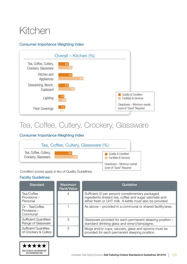# Kitchen

#### Consumer Importance Weighting Index



### Tea, Coffee, Cutlery, Crockery, Glassware

#### Consumer Importance Weighting Index



Condition scores apply in lieu of Quality Guidelines.

| <b>Standard</b>                                       | <b>Maximum</b><br><b>Rank/Value</b> | Guideline                                                                                                                                                                 |
|-------------------------------------------------------|-------------------------------------|---------------------------------------------------------------------------------------------------------------------------------------------------------------------------|
| Tea/Coffee<br>Provisions-<br>Personal                 |                                     | Sufficient (2 per person) complimentary packaged<br>ingredients (instant tea, coffee and sugar satchels) and<br>either fresh or UHT milk. A kettle must also be provided. |
| Or - Tea/Coffee<br>Provisions-<br>Communal            |                                     | As above – provided in a communal or shared facility/area.                                                                                                                |
| Sufficient Quantities/<br>Range of Glassware          | З                                   | Glassware provided for each permanent sleeping position -<br>standard drinking glass and wine/champagne.                                                                  |
| <b>Sufficient Quantities</b><br>of Crockery & Cutlery | З                                   | Mugs and/or cups, saucers, glass and spoons must be<br>provided for each permanent sleeping position.                                                                     |

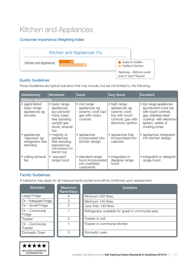## Kitchen and Appliances

#### Consumer Importance Weighting Index



#### Quality Guidelines:

These Guidelines are typical indicators that may include, but are not limited to, the following:

| <b>Satisfactory</b>                                           | Moderate                                                                                                            | Good                                                                             | <b>Very Good</b>                                                                                             | <b>Excellent</b>                                                                                                                                                    |
|---------------------------------------------------------------|---------------------------------------------------------------------------------------------------------------------|----------------------------------------------------------------------------------|--------------------------------------------------------------------------------------------------------------|---------------------------------------------------------------------------------------------------------------------------------------------------------------------|
| <b>Kitchen Appliances</b>                                     |                                                                                                                     |                                                                                  |                                                                                                              |                                                                                                                                                                     |
| • aged/dated<br>basic range<br>appliances eg<br>stovette      | • basic range<br>appliances<br>eg coil/solid<br>hobs; basic<br>free standing<br>upright gas<br>stove, enamel<br>top | • mid range<br>appliances eg<br>ceramic cook top/<br>gas with rotary<br>controls | • high range<br>appliances eg<br>ceramic cook<br>top with touch<br>controls; gas with<br>electronic ignition | • top range appliances<br>eg induction cook top<br>with touch controls:<br>gas, stainless steel<br>cooktop with electronic<br>ignition, variety of<br>cooking zones |
| • appliances<br>'exposed' eg<br>refrigerator free<br>standing | • majority of<br>appliances<br>free standing<br>exposed eg<br>microwave on<br>bench top                             | • appliances<br>incorporated into<br>kitchen design                              | • appliances fully<br>incorporated into<br>cabinets                                                          | • appliances integrated<br>into kitchen design                                                                                                                      |
| • ceiling exhaust<br>fan                                      | • 'exposed'<br>range hood                                                                                           | • standard range<br>hood incorporated<br>into overhead<br>cupboards              | • integrated or<br>designer range<br>hood                                                                    | • integrated or designer<br>range-hood                                                                                                                              |

#### Facility Guidelines:

A tolerance may apply for all measurements (under) and will be confirmed upon assessment.

| <b>Standard</b>           | <b>Maximum</b><br>Rank/Value | Guideline                                          |  |
|---------------------------|------------------------------|----------------------------------------------------|--|
| Large Fridge              | 4                            | Minimum 200 litres.                                |  |
| Or - Adequate Fridge      | 3                            | Minimum 140 litres.                                |  |
| Or - Small Fridge         | 2                            | Less than 140 litres.                              |  |
| $Or$ – Communal<br>Fridge |                              | Refrigerator available for guest in communal area. |  |
| Toaster                   | З                            | Toaster in unit.                                   |  |
| Or - Communal<br>Toaster  |                              | Toaster in communal kitchen.                       |  |
| Domestic Oven             | 5                            | Domestic oven.                                     |  |

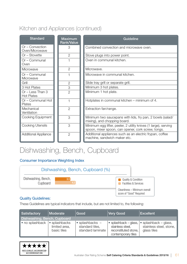### Kitchen and Appliances (continued)

| <b>Standard</b>                       | <b>Maximum</b><br><b>Rank/Value</b> | <b>Guideline</b>                                                                                                      |  |
|---------------------------------------|-------------------------------------|-----------------------------------------------------------------------------------------------------------------------|--|
| Or – Convection<br>Oven/Microwave     | 3                                   | Combined convection and microwave oven.                                                                               |  |
| Or - Stovette                         | $\overline{2}$                      | Stove plugs into power point.                                                                                         |  |
| Or - Communal<br>Oven                 |                                     | Oven in communal kitchen.                                                                                             |  |
| Microwave                             | $\mathbf{2}$                        | Microwave.                                                                                                            |  |
| Or - Communal<br>Microwave            |                                     | Microwave in communal kitchen.                                                                                        |  |
| Grill                                 | $\overline{2}$                      | Slide tray grill or separate grill.                                                                                   |  |
| 3 Hot Plates                          | 3                                   | Minimum 3 hot plates.                                                                                                 |  |
| Or - Less Than 3<br><b>Hot Plates</b> | $\overline{2}$                      | Minimum 1 hot plate.                                                                                                  |  |
| Or - Communal Hot<br>Plates           |                                     | Hotplates in communal kitchen - minimum of 4.                                                                         |  |
| Mechanical<br>Ventilation             | $\overline{2}$                      | Extraction fan/range.                                                                                                 |  |
| <b>Cooking Equipment</b>              | 3                                   | Minimum two saucepans with lids, fry pan, 2 bowls (salad/<br>mixing), and chopping board.                             |  |
| <b>Cooking Utensils</b>               | 3                                   | Minimum egg lifter, peeler, 2 utility knives (1 large), serving<br>spoon, mixer spoon, can opener, cork screw, tongs. |  |
| <b>Additional Appliance</b>           | $\overline{2}$                      | Additional appliances such as an electric frypan, coffee<br>machine, sandwich maker etc.                              |  |

## Dishwashing, Bench, Cupboard

#### Consumer Importance Weighting Index



#### Quality Guidelines:

These Guidelines are typical indicators that include, but are not limited to, the following:

| Satisfactory                        | Moderate                                      | Good                                                              | Very Good                                                                                       | <b>Excellent</b>                                                        |
|-------------------------------------|-----------------------------------------------|-------------------------------------------------------------------|-------------------------------------------------------------------------------------------------|-------------------------------------------------------------------------|
| Dishwashing, Bench, Cupboard        |                                               |                                                                   |                                                                                                 |                                                                         |
| $\bullet$ no splashback $\parallel$ | • splashbacks<br>limited area,<br>basic tiles | $\bullet$ splashbacks $-$<br>standard tiles,<br>standard laminate | $\bullet$ splashback – glass,<br>stainless steel,<br>reconstituted stone,<br>contemporary tiles | $\bullet$ splashback – glass,<br>stainless steel, stone,<br>glass tiles |

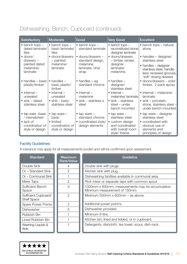### Dishwashing, Bench, Cupboard (continued)

| <b>Satisfactory</b>                                                                          | Moderate                                                                           | Good                                                                                 | <b>Very Good</b>                                                                                                     | <b>Excellent</b>                                                                                                                   |
|----------------------------------------------------------------------------------------------|------------------------------------------------------------------------------------|--------------------------------------------------------------------------------------|----------------------------------------------------------------------------------------------------------------------|------------------------------------------------------------------------------------------------------------------------------------|
| $\bullet$ bench tops $-$<br>dated laminate/<br>tiles                                         | $\bullet$ bench tops $-$<br>basic laminate/<br>tiles                               | $\bullet$ bench tops $-$<br>standard laminate                                        | $\bullet$ bench tops $-$<br>reconstituted stone<br>designer laminate                                                 | • bench tops – natural<br>stone                                                                                                    |
| · doors/<br>$drawers -$                                                                      | • doors/drawers<br>- painted,                                                      | · doors/drawers -<br>standard design,                                                | · doors/drawers<br>- timber veneer,                                                                                  | • handles – designer/<br>stainless steel                                                                                           |
| painted dated<br>melamine/<br>laminate                                                       | melamine/<br>laminate                                                              | melamine,<br>laminate, vinyl<br>wrap                                                 | designer<br>laminate/<br>melamine.                                                                                   | $\bullet$ handles – designer<br>stainless steel, handle-<br>less/recessed grooves,<br>'soft' closing drawers                       |
| $\bullet$ handles $-$ basic<br>plastic/timber                                                | $\bullet$ handles $-$<br>basic plastic/<br>timber                                  | $\bullet$ handles – eg<br>standard chrome                                            | $\bullet$ handles $-$<br>designer/<br>stainless steel                                                                | · doors/drawers - solid<br>timber, 2 pack epoxy                                                                                    |
| $\bullet$ internal $-$<br>unsealed<br>$\bullet$ sink – dated<br>stainless steel              | $\bullet$ internal $-$<br>unsealed<br>$\bullet$ sink – basic<br>stainless steel    | $\bullet$ internal $-$<br>melamine<br>$\bullet$ sink – stainless s<br>steel          | $\bullet$ internal $-$<br>melamine/laminate<br>$\bullet$ sink $-$ stainless<br>steel - under<br>bench mounted        | $\bullet$ internal – melamine/<br>laminate<br>$\bullet$ sink – porcelain,<br>stone, stainless steel -<br>under bench mounted       |
| • tap ware -basic<br>/ mismatched<br>$\bullet$ lack of<br>coordination of<br>style or design | $\bullet$ tap ware $-$<br>basic<br>• limited<br>coordination of<br>style or design | $\bullet$ tap ware $-$<br>standard chrome<br>• coordinated style/<br>design elements | $\bullet$ tap ware $-$<br>stainless steel<br>• custom design<br>and coordinated<br>with overall room<br>style/ theme | $\bullet$ tap ware $-$ designer<br>stainless steel<br>• coordinated with<br>obvious use of<br>elements and<br>principles of design |

#### Facility Guidelines:

A tolerance may apply for all measurements (under) and will be confirmed upon assessment.

| <b>Standard</b>                            | <b>Maximum</b><br>Rank/Value | Guideline                                                                          |  |
|--------------------------------------------|------------------------------|------------------------------------------------------------------------------------|--|
| Double Sink                                | 4                            | Double sink with plugs.                                                            |  |
| Or - Standard Sink                         | 2                            | Kitchen sink with plug.                                                            |  |
| Or - Communal Sink                         |                              | Dishwashing facilities available in communal area.                                 |  |
| Mixer Taps                                 | $\overline{2}$               | Flick mixer or separate taps with common spout.                                    |  |
| Sufficient Bench<br>Space                  | 3                            | 1000mm x 600mm, measurements may be accumulative.<br>Minimum measurement of 150mm. |  |
| Sufficient Cupboard/<br><b>Shelf Space</b> | $\mathcal{P}$                | Minimum 500mm x 600mm - as above.                                                  |  |
| <b>Spare Power Points</b>                  | $\overline{2}$               | Additional power point/s.                                                          |  |
| Dishwasher                                 | 5                            | Dishwasher provided.                                                               |  |
| Rubbish Bin                                |                              | Minimum 8 litre.                                                                   |  |
| Lined Rubbish Bin                          |                              | Kitchen bin, lined and lidded, or in cupboard.                                     |  |
| Washing Liquids &<br>Aids                  |                              | Detergents, dishcloth, tea towel, scour, dish-rack.                                |  |

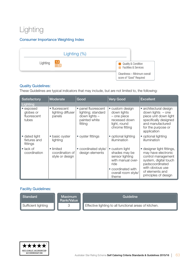## Lighting

#### Consumer Importance Weighting Index



#### Quality Guidelines:

These Guidelines are typical indicators that may include, but are not limited to, the following:

| <b>Satisfactory</b>                            | Moderate                                        | Good                                                                                   | <b>Very Good</b>                                                                                                                      | <b>Excellent</b>                                                                                                                                                                   |
|------------------------------------------------|-------------------------------------------------|----------------------------------------------------------------------------------------|---------------------------------------------------------------------------------------------------------------------------------------|------------------------------------------------------------------------------------------------------------------------------------------------------------------------------------|
| Lighting                                       |                                                 |                                                                                        |                                                                                                                                       |                                                                                                                                                                                    |
| • exposed<br>globes or<br>fluorescent<br>tubes | • fluorescent<br>lighting diffuser<br>panels    | • panel fluorescent<br>lighting; standard<br>down lights -<br>painted white<br>fitting | • custom design<br>down lights<br>- one piece<br>recessed down<br>light, round<br>chrome fitting                                      | • architectural design<br>down lights - one<br>piece unit down light<br>specifically designed<br>and manufactured<br>for the purpose or<br>application                             |
| • dated light<br>fixtures and<br>fittings      | basic oyster<br>lighting                        | • oyster fittings                                                                      | • optional lighting<br>illumination                                                                                                   | • optional lighting<br>illumination                                                                                                                                                |
| $\bullet$ lack of<br>coordination              | • limited<br>coordination of<br>style or design | • coordinated style/<br>design elements                                                | • custom light<br>shades may be<br>sensor lighting<br>with manual over-<br>ride<br>• coordinated with<br>overall room style/<br>theme | • designer light fittings,<br>may have electronic<br>control management<br>system, digital touch<br>padscoordinated<br>with obvious use<br>of elements and<br>principles of design |

| Standard            | <b>Maximum</b><br>Rank/Value | Guideline                                              |
|---------------------|------------------------------|--------------------------------------------------------|
| Sufficient lighting |                              | Effective lighting to all functional areas of kitchen. |

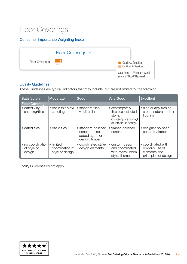## Floor Coverings

#### Consumer Importance Weighting Index



#### Quality Guidelines:

These Guidelines are typical indicators that may include, but are not limited to, the following:

| <b>Satisfactory</b>                        | Moderate                                        | Good                                                                     | <b>Very Good</b>                                                                             | <b>Excellent</b>                                                             |  |  |
|--------------------------------------------|-------------------------------------------------|--------------------------------------------------------------------------|----------------------------------------------------------------------------------------------|------------------------------------------------------------------------------|--|--|
| <b>Floor Coverings</b>                     |                                                 |                                                                          |                                                                                              |                                                                              |  |  |
| • dated vinyl<br>sheeting/tiles            | • basic thin vinyl<br>sheeting                  | • standard tiles/<br>vinyl/laminate                                      | • contemporary<br>tiles, reconstituted<br>stone,<br>contemporary vinyl<br>(cushion underlay) | • high quality tiles eg<br>stone, natural rubber<br>flooring                 |  |  |
| • dated tiles                              | • basic tiles                                   | • standard polished<br>concrete – no<br>added agate or<br>design; timber | • timber, polished<br>concrete                                                               | • designer polished<br>concrete/timber                                       |  |  |
| • no coordination<br>of style or<br>design | · limited<br>coordination of<br>style or design | • coordinated style/<br>design elements                                  | • custom design<br>and coordinated<br>with overall room<br>style/ theme                      | • coordinated with<br>obvious use of<br>elements and<br>principles of design |  |  |

Facility Guidelines do not apply.

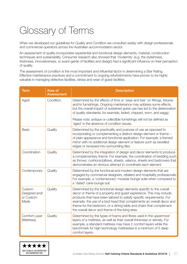# Glossary of Terms

When we developed our guidelines for Quality and Condition we consulted widely with design professionals and commercial operators across the Australian accommodation sector.

An assessment of quality incorporates experiential and functional design elements, material, construction techniques and sustainability. Consumer research also showed that 'modernity' (e.g. the stylishness, freshness, innovativeness, or avant-garde of facilities and design) had a significant influence on their perception of quality.

The assessment of condition is the most important and influential factor in determining a Star Rating. Effective maintenance practices and a commitment to ongoing refurbishments have proven to be highly valuable in managing defective facilities, stress and wear of guest facilities.

| <b>Term</b>                                  | Area of<br><b>Assessment</b> | <b>Description</b>                                                                                                                                                                                                                                                                                                                                                                                                      |
|----------------------------------------------|------------------------------|-------------------------------------------------------------------------------------------------------------------------------------------------------------------------------------------------------------------------------------------------------------------------------------------------------------------------------------------------------------------------------------------------------------------------|
| Aged                                         | Condition                    | Determined by the effects of time or 'wear and tear' on fittings, fixtures<br>and/or furnishings. Ongoing maintenance may address some effects,<br>but the overall impact of sustained guest use has led to the deterioration<br>of quality standards; for example, faded, chipped, worn, and saggy.                                                                                                                    |
|                                              |                              | Please note: antique or collectible furnishings will not be defined as<br>'aged' in the absence of condition issues.                                                                                                                                                                                                                                                                                                    |
| <b>Basic</b>                                 | Quality                      | Determined by the practicality and purpose of use as opposed to<br>incorporating or complementing a distinct design element or theme -<br>of plain appearance and functional application. For example, a framed<br>mirror with no additional design element or feature such as bevelled<br>edges or recessed into surrounding tiles.                                                                                    |
| Coordination                                 | Quality                      | Determined by the integration of design and decor elements to produce<br>a complementary theme. For example, the coordination of bedding such<br>as throws, cushions/pillows, sheets, valance, sheets and bedcovers that<br>demonstrates an obvious attempt to coordinate each element.                                                                                                                                 |
| Contemporary                                 | Quality                      | Determined by the functional and modern design elements that are<br>engaged by commercial designers, retailers and hospitality professionals.<br>For example, a 'contemporary' modular lounge suite when compared to<br>a 'dated' cane lounge suit.                                                                                                                                                                     |
| Custom<br>Designed and/<br>or Custom<br>Made | Quality                      | Determined by the functional design elements specific to the overall<br>decor or theme of a property and guest experience. This may include<br>products that have been tailored to satisfy specific requirements. For<br>example, the use of a bed-head that complements an overall decor and<br>theme for the bedroom, or a dining table and chairs that complement<br>the overall decor and theme of the living area. |
| Comfort Layer<br>(Mattress)                  | Quality                      | Determined by the types of foams and fibres used in the uppermost<br>layers of a mattress, as well as their overall thickness or density. For<br>example, a standard mattress may have 2 comfort layers while the<br>benchmark for high technology mattresses is a minimum of 5 deep<br>comfort layers.                                                                                                                 |